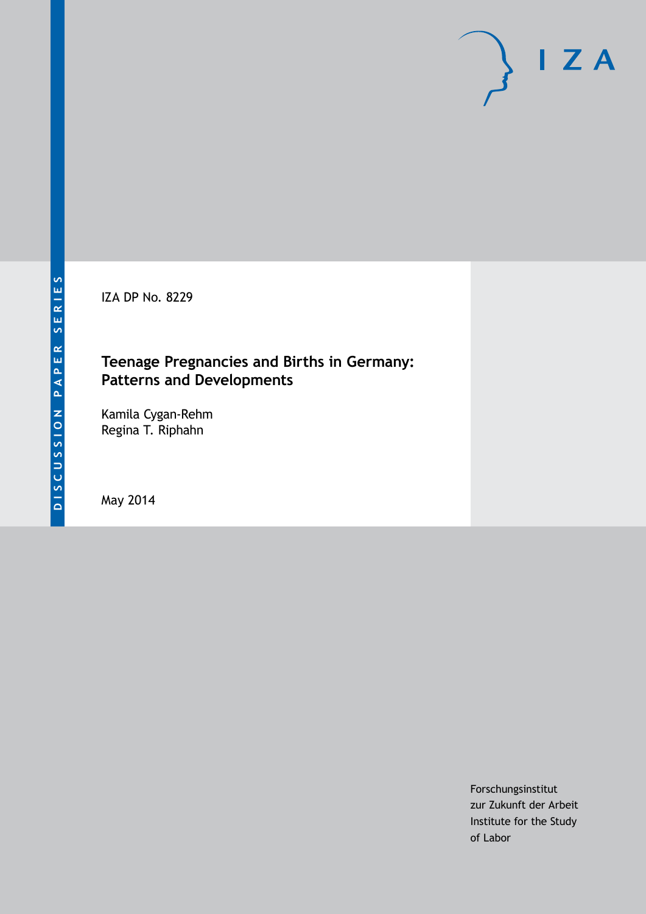IZA DP No. 8229

## **Teenage Pregnancies and Births in Germany: Patterns and Developments**

Kamila Cygan-Rehm Regina T. Riphahn

May 2014

Forschungsinstitut zur Zukunft der Arbeit Institute for the Study of Labor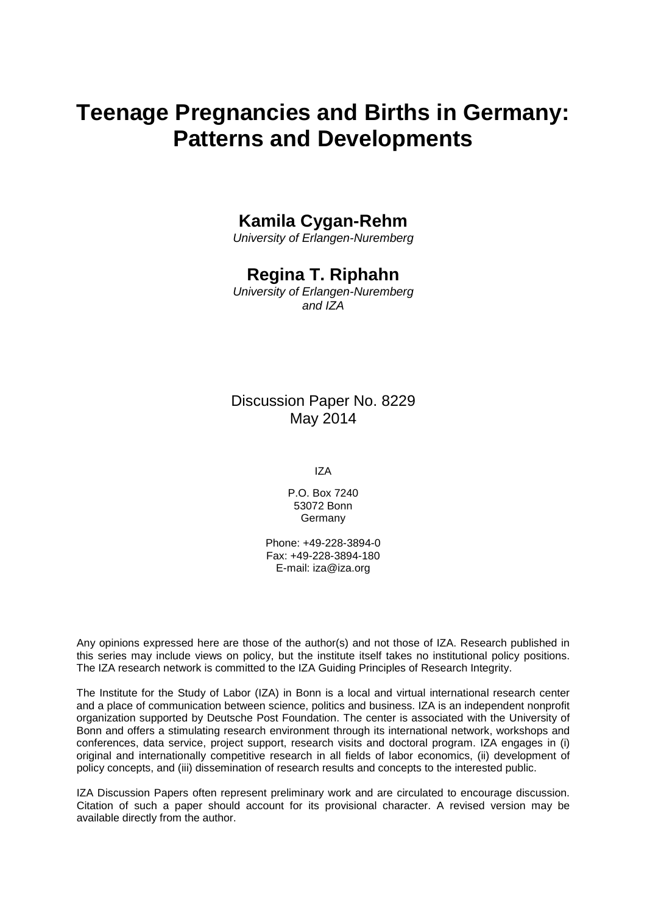# **Teenage Pregnancies and Births in Germany: Patterns and Developments**

### **Kamila Cygan-Rehm**

*University of Erlangen-Nuremberg*

## **Regina T. Riphahn**

*University of Erlangen-Nuremberg and IZA*

### Discussion Paper No. 8229 May 2014

IZA

P.O. Box 7240 53072 Bonn **Germany** 

Phone: +49-228-3894-0 Fax: +49-228-3894-180 E-mail: [iza@iza.org](mailto:iza@iza.org)

Any opinions expressed here are those of the author(s) and not those of IZA. Research published in this series may include views on policy, but the institute itself takes no institutional policy positions. The IZA research network is committed to the IZA Guiding Principles of Research Integrity.

The Institute for the Study of Labor (IZA) in Bonn is a local and virtual international research center and a place of communication between science, politics and business. IZA is an independent nonprofit organization supported by Deutsche Post Foundation. The center is associated with the University of Bonn and offers a stimulating research environment through its international network, workshops and conferences, data service, project support, research visits and doctoral program. IZA engages in (i) original and internationally competitive research in all fields of labor economics, (ii) development of policy concepts, and (iii) dissemination of research results and concepts to the interested public.

<span id="page-1-0"></span>IZA Discussion Papers often represent preliminary work and are circulated to encourage discussion. Citation of such a paper should account for its provisional character. A revised version may be available directly from the author.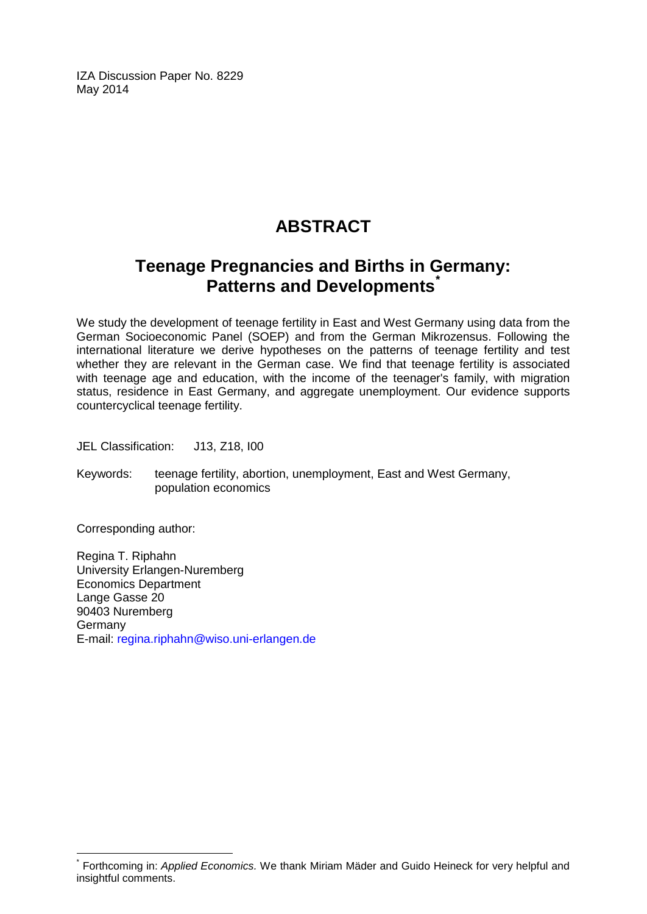IZA Discussion Paper No. 8229 May 2014

## **ABSTRACT**

## **Teenage Pregnancies and Births in Germany: Patterns and Developments[\\*](#page-1-0)**

We study the development of teenage fertility in East and West Germany using data from the German Socioeconomic Panel (SOEP) and from the German Mikrozensus. Following the international literature we derive hypotheses on the patterns of teenage fertility and test whether they are relevant in the German case. We find that teenage fertility is associated with teenage age and education, with the income of the teenager's family, with migration status, residence in East Germany, and aggregate unemployment. Our evidence supports countercyclical teenage fertility.

JEL Classification: J13, Z18, I00

Keywords: teenage fertility, abortion, unemployment, East and West Germany, population economics

Corresponding author:

Regina T. Riphahn University Erlangen-Nuremberg Economics Department Lange Gasse 20 90403 Nuremberg Germany E-mail: [regina.riphahn@wiso.uni-erlangen.de](mailto:regina.riphahn@wiso.uni-erlangen.de)

\* Forthcoming in: *Applied Economics.* We thank Miriam Mäder and Guido Heineck for very helpful and insightful comments.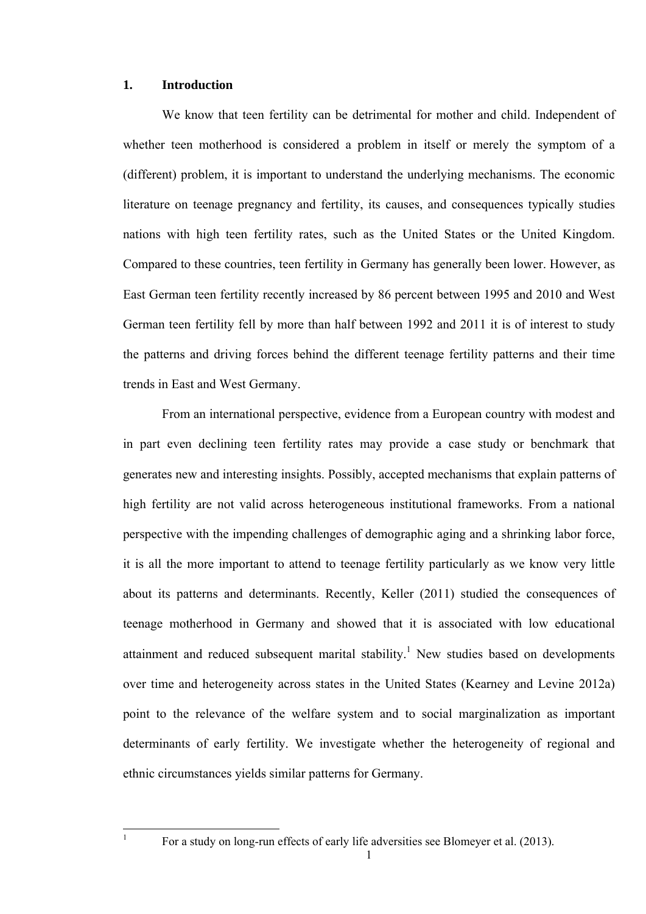#### **1. Introduction**

 $\frac{1}{1}$ 

We know that teen fertility can be detrimental for mother and child. Independent of whether teen motherhood is considered a problem in itself or merely the symptom of a (different) problem, it is important to understand the underlying mechanisms. The economic literature on teenage pregnancy and fertility, its causes, and consequences typically studies nations with high teen fertility rates, such as the United States or the United Kingdom. Compared to these countries, teen fertility in Germany has generally been lower. However, as East German teen fertility recently increased by 86 percent between 1995 and 2010 and West German teen fertility fell by more than half between 1992 and 2011 it is of interest to study the patterns and driving forces behind the different teenage fertility patterns and their time trends in East and West Germany.

 From an international perspective, evidence from a European country with modest and in part even declining teen fertility rates may provide a case study or benchmark that generates new and interesting insights. Possibly, accepted mechanisms that explain patterns of high fertility are not valid across heterogeneous institutional frameworks. From a national perspective with the impending challenges of demographic aging and a shrinking labor force, it is all the more important to attend to teenage fertility particularly as we know very little about its patterns and determinants. Recently, Keller (2011) studied the consequences of teenage motherhood in Germany and showed that it is associated with low educational attainment and reduced subsequent marital stability.<sup>1</sup> New studies based on developments over time and heterogeneity across states in the United States (Kearney and Levine 2012a) point to the relevance of the welfare system and to social marginalization as important determinants of early fertility. We investigate whether the heterogeneity of regional and ethnic circumstances yields similar patterns for Germany.

For a study on long-run effects of early life adversities see Blomeyer et al. (2013).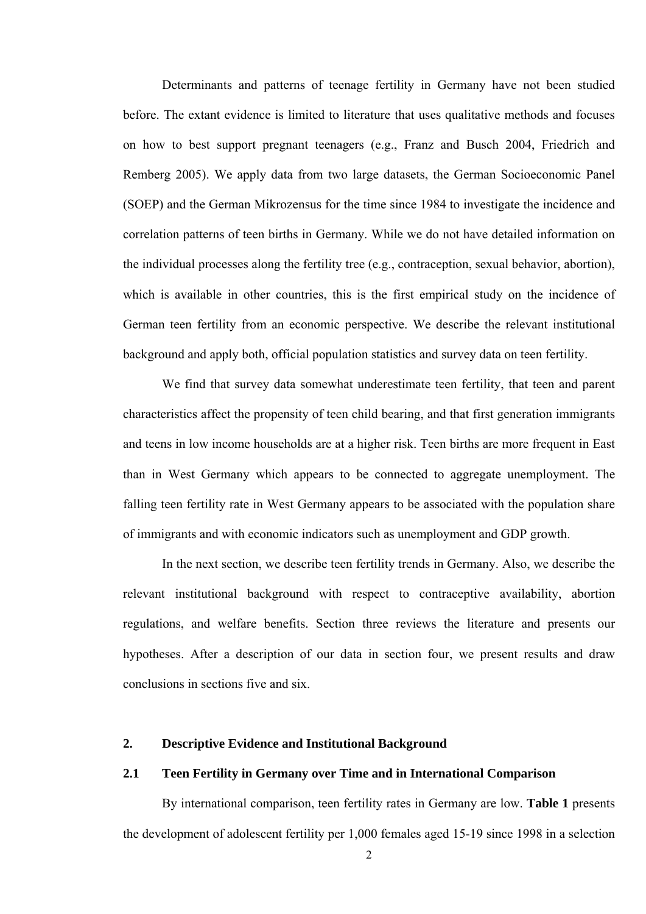Determinants and patterns of teenage fertility in Germany have not been studied before. The extant evidence is limited to literature that uses qualitative methods and focuses on how to best support pregnant teenagers (e.g., Franz and Busch 2004, Friedrich and Remberg 2005). We apply data from two large datasets, the German Socioeconomic Panel (SOEP) and the German Mikrozensus for the time since 1984 to investigate the incidence and correlation patterns of teen births in Germany. While we do not have detailed information on the individual processes along the fertility tree (e.g., contraception, sexual behavior, abortion), which is available in other countries, this is the first empirical study on the incidence of German teen fertility from an economic perspective. We describe the relevant institutional background and apply both, official population statistics and survey data on teen fertility.

We find that survey data somewhat underestimate teen fertility, that teen and parent characteristics affect the propensity of teen child bearing, and that first generation immigrants and teens in low income households are at a higher risk. Teen births are more frequent in East than in West Germany which appears to be connected to aggregate unemployment. The falling teen fertility rate in West Germany appears to be associated with the population share of immigrants and with economic indicators such as unemployment and GDP growth.

In the next section, we describe teen fertility trends in Germany. Also, we describe the relevant institutional background with respect to contraceptive availability, abortion regulations, and welfare benefits. Section three reviews the literature and presents our hypotheses. After a description of our data in section four, we present results and draw conclusions in sections five and six.

#### **2. Descriptive Evidence and Institutional Background**

#### **2.1 Teen Fertility in Germany over Time and in International Comparison**

By international comparison, teen fertility rates in Germany are low. **Table 1** presents the development of adolescent fertility per 1,000 females aged 15-19 since 1998 in a selection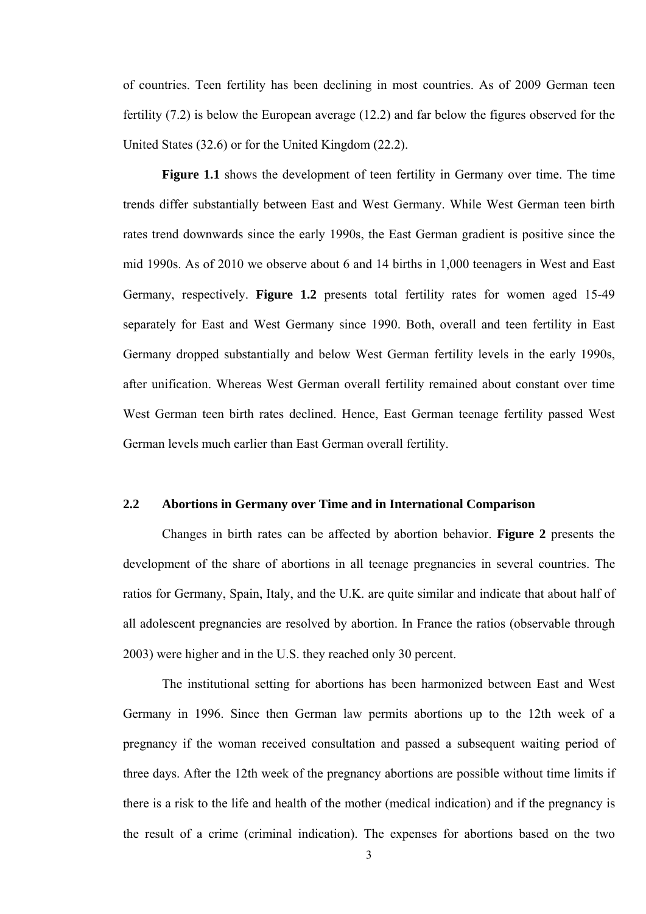of countries. Teen fertility has been declining in most countries. As of 2009 German teen fertility (7.2) is below the European average (12.2) and far below the figures observed for the United States (32.6) or for the United Kingdom (22.2).

**Figure 1.1** shows the development of teen fertility in Germany over time. The time trends differ substantially between East and West Germany. While West German teen birth rates trend downwards since the early 1990s, the East German gradient is positive since the mid 1990s. As of 2010 we observe about 6 and 14 births in 1,000 teenagers in West and East Germany, respectively. **Figure 1.2** presents total fertility rates for women aged 15-49 separately for East and West Germany since 1990. Both, overall and teen fertility in East Germany dropped substantially and below West German fertility levels in the early 1990s, after unification. Whereas West German overall fertility remained about constant over time West German teen birth rates declined. Hence, East German teenage fertility passed West German levels much earlier than East German overall fertility.

#### **2.2 Abortions in Germany over Time and in International Comparison**

Changes in birth rates can be affected by abortion behavior. **Figure 2** presents the development of the share of abortions in all teenage pregnancies in several countries. The ratios for Germany, Spain, Italy, and the U.K. are quite similar and indicate that about half of all adolescent pregnancies are resolved by abortion. In France the ratios (observable through 2003) were higher and in the U.S. they reached only 30 percent.

The institutional setting for abortions has been harmonized between East and West Germany in 1996. Since then German law permits abortions up to the 12th week of a pregnancy if the woman received consultation and passed a subsequent waiting period of three days. After the 12th week of the pregnancy abortions are possible without time limits if there is a risk to the life and health of the mother (medical indication) and if the pregnancy is the result of a crime (criminal indication). The expenses for abortions based on the two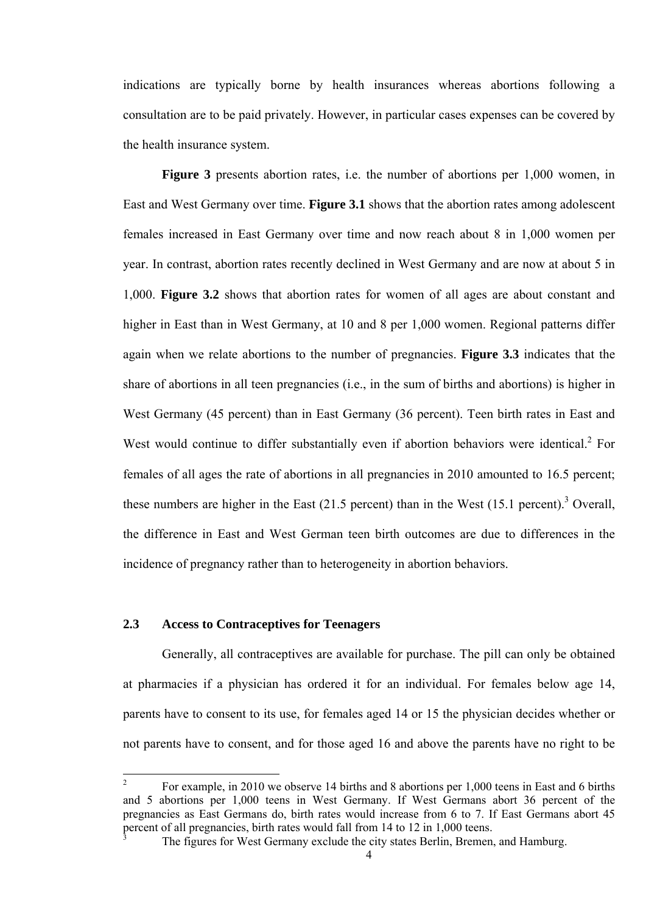indications are typically borne by health insurances whereas abortions following a consultation are to be paid privately. However, in particular cases expenses can be covered by the health insurance system.

**Figure 3** presents abortion rates, i.e. the number of abortions per 1,000 women, in East and West Germany over time. **Figure 3.1** shows that the abortion rates among adolescent females increased in East Germany over time and now reach about 8 in 1,000 women per year. In contrast, abortion rates recently declined in West Germany and are now at about 5 in 1,000. **Figure 3.2** shows that abortion rates for women of all ages are about constant and higher in East than in West Germany, at 10 and 8 per 1,000 women. Regional patterns differ again when we relate abortions to the number of pregnancies. **Figure 3.3** indicates that the share of abortions in all teen pregnancies (i.e., in the sum of births and abortions) is higher in West Germany (45 percent) than in East Germany (36 percent). Teen birth rates in East and West would continue to differ substantially even if abortion behaviors were identical. $2$  For females of all ages the rate of abortions in all pregnancies in 2010 amounted to 16.5 percent; these numbers are higher in the East  $(21.5$  percent) than in the West  $(15.1$  percent).<sup>3</sup> Overall, the difference in East and West German teen birth outcomes are due to differences in the incidence of pregnancy rather than to heterogeneity in abortion behaviors.

#### **2.3 Access to Contraceptives for Teenagers**

 $\overline{a}$ 

Generally, all contraceptives are available for purchase. The pill can only be obtained at pharmacies if a physician has ordered it for an individual. For females below age 14, parents have to consent to its use, for females aged 14 or 15 the physician decides whether or not parents have to consent, and for those aged 16 and above the parents have no right to be

<sup>2</sup> For example, in 2010 we observe 14 births and 8 abortions per 1,000 teens in East and 6 births and 5 abortions per 1,000 teens in West Germany. If West Germans abort 36 percent of the pregnancies as East Germans do, birth rates would increase from 6 to 7. If East Germans abort 45 percent of all pregnancies, birth rates would fall from 14 to 12 in 1,000 teens. 3

The figures for West Germany exclude the city states Berlin, Bremen, and Hamburg.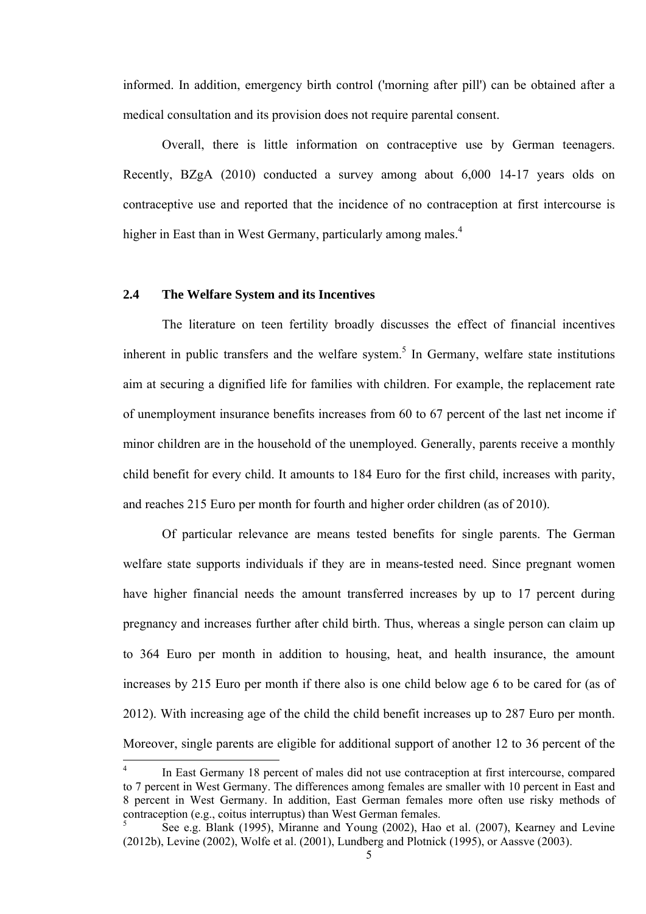informed. In addition, emergency birth control ('morning after pill') can be obtained after a medical consultation and its provision does not require parental consent.

 Overall, there is little information on contraceptive use by German teenagers. Recently, BZgA (2010) conducted a survey among about 6,000 14-17 years olds on contraceptive use and reported that the incidence of no contraception at first intercourse is higher in East than in West Germany, particularly among males.<sup>4</sup>

#### **2.4 The Welfare System and its Incentives**

The literature on teen fertility broadly discusses the effect of financial incentives inherent in public transfers and the welfare system.<sup>5</sup> In Germany, welfare state institutions aim at securing a dignified life for families with children. For example, the replacement rate of unemployment insurance benefits increases from 60 to 67 percent of the last net income if minor children are in the household of the unemployed. Generally, parents receive a monthly child benefit for every child. It amounts to 184 Euro for the first child, increases with parity, and reaches 215 Euro per month for fourth and higher order children (as of 2010).

 Of particular relevance are means tested benefits for single parents. The German welfare state supports individuals if they are in means-tested need. Since pregnant women have higher financial needs the amount transferred increases by up to 17 percent during pregnancy and increases further after child birth. Thus, whereas a single person can claim up to 364 Euro per month in addition to housing, heat, and health insurance, the amount increases by 215 Euro per month if there also is one child below age 6 to be cared for (as of 2012). With increasing age of the child the child benefit increases up to 287 Euro per month. Moreover, single parents are eligible for additional support of another 12 to 36 percent of the

 4 In East Germany 18 percent of males did not use contraception at first intercourse, compared to 7 percent in West Germany. The differences among females are smaller with 10 percent in East and 8 percent in West Germany. In addition, East German females more often use risky methods of contraception (e.g., coitus interruptus) than West German females.

<sup>5</sup> See e.g. Blank (1995), Miranne and Young (2002), Hao et al. (2007), Kearney and Levine (2012b), Levine (2002), Wolfe et al. (2001), Lundberg and Plotnick (1995), or Aassve (2003).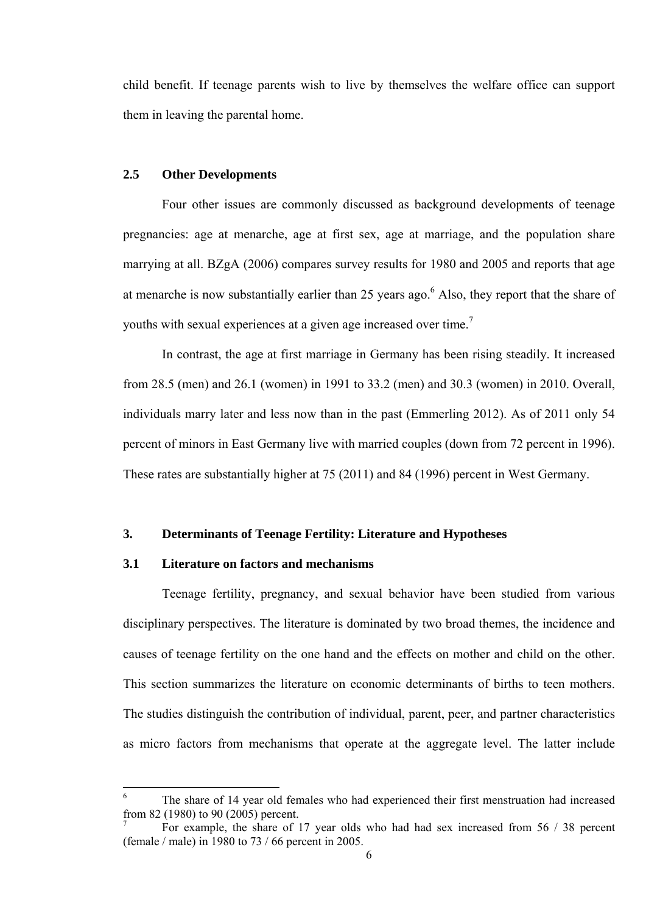child benefit. If teenage parents wish to live by themselves the welfare office can support them in leaving the parental home.

#### **2.5 Other Developments**

 Four other issues are commonly discussed as background developments of teenage pregnancies: age at menarche, age at first sex, age at marriage, and the population share marrying at all. BZgA (2006) compares survey results for 1980 and 2005 and reports that age at menarche is now substantially earlier than 25 years ago.<sup>6</sup> Also, they report that the share of youths with sexual experiences at a given age increased over time.<sup>7</sup>

In contrast, the age at first marriage in Germany has been rising steadily. It increased from 28.5 (men) and 26.1 (women) in 1991 to 33.2 (men) and 30.3 (women) in 2010. Overall, individuals marry later and less now than in the past (Emmerling 2012). As of 2011 only 54 percent of minors in East Germany live with married couples (down from 72 percent in 1996). These rates are substantially higher at 75 (2011) and 84 (1996) percent in West Germany.

#### **3. Determinants of Teenage Fertility: Literature and Hypotheses**

#### **3.1 Literature on factors and mechanisms**

Teenage fertility, pregnancy, and sexual behavior have been studied from various disciplinary perspectives. The literature is dominated by two broad themes, the incidence and causes of teenage fertility on the one hand and the effects on mother and child on the other. This section summarizes the literature on economic determinants of births to teen mothers. The studies distinguish the contribution of individual, parent, peer, and partner characteristics as micro factors from mechanisms that operate at the aggregate level. The latter include

 $\frac{1}{6}$  The share of 14 year old females who had experienced their first menstruation had increased from 82 (1980) to 90 (2005) percent.

<sup>7</sup> For example, the share of 17 year olds who had had sex increased from 56 / 38 percent (female / male) in 1980 to 73 / 66 percent in 2005.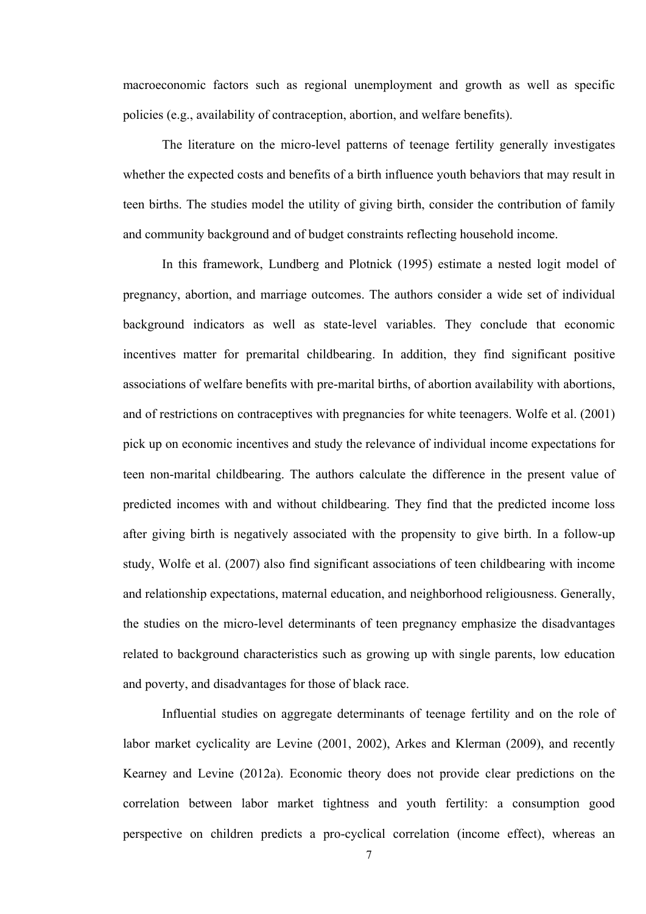macroeconomic factors such as regional unemployment and growth as well as specific policies (e.g., availability of contraception, abortion, and welfare benefits).

 The literature on the micro-level patterns of teenage fertility generally investigates whether the expected costs and benefits of a birth influence youth behaviors that may result in teen births. The studies model the utility of giving birth, consider the contribution of family and community background and of budget constraints reflecting household income.

In this framework, Lundberg and Plotnick (1995) estimate a nested logit model of pregnancy, abortion, and marriage outcomes. The authors consider a wide set of individual background indicators as well as state-level variables. They conclude that economic incentives matter for premarital childbearing. In addition, they find significant positive associations of welfare benefits with pre-marital births, of abortion availability with abortions, and of restrictions on contraceptives with pregnancies for white teenagers. Wolfe et al. (2001) pick up on economic incentives and study the relevance of individual income expectations for teen non-marital childbearing. The authors calculate the difference in the present value of predicted incomes with and without childbearing. They find that the predicted income loss after giving birth is negatively associated with the propensity to give birth. In a follow-up study, Wolfe et al. (2007) also find significant associations of teen childbearing with income and relationship expectations, maternal education, and neighborhood religiousness. Generally, the studies on the micro-level determinants of teen pregnancy emphasize the disadvantages related to background characteristics such as growing up with single parents, low education and poverty, and disadvantages for those of black race.

Influential studies on aggregate determinants of teenage fertility and on the role of labor market cyclicality are Levine (2001, 2002), Arkes and Klerman (2009), and recently Kearney and Levine (2012a). Economic theory does not provide clear predictions on the correlation between labor market tightness and youth fertility: a consumption good perspective on children predicts a pro-cyclical correlation (income effect), whereas an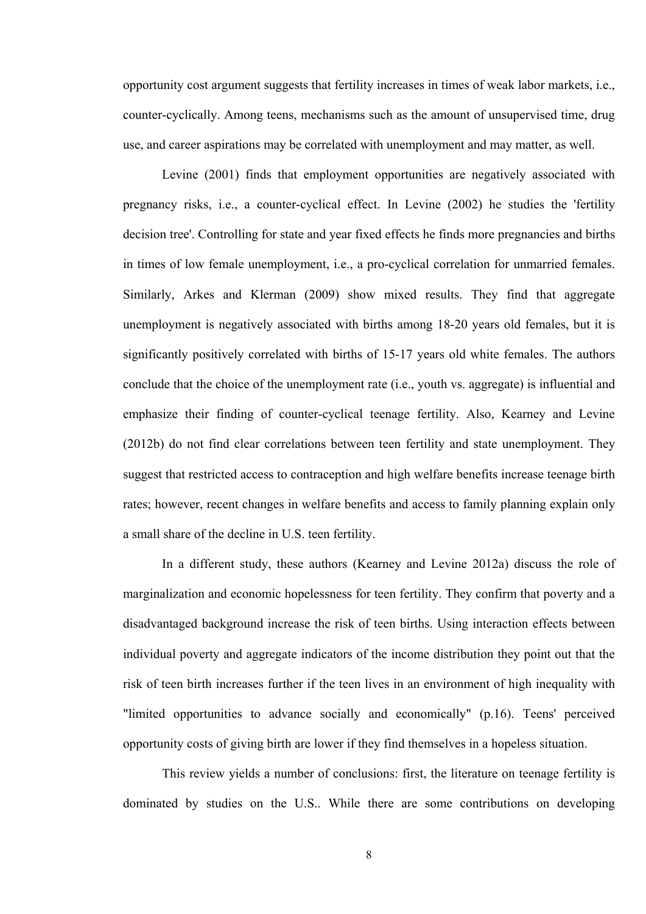opportunity cost argument suggests that fertility increases in times of weak labor markets, i.e., counter-cyclically. Among teens, mechanisms such as the amount of unsupervised time, drug use, and career aspirations may be correlated with unemployment and may matter, as well.

Levine (2001) finds that employment opportunities are negatively associated with pregnancy risks, i.e., a counter-cyclical effect. In Levine (2002) he studies the 'fertility decision tree'. Controlling for state and year fixed effects he finds more pregnancies and births in times of low female unemployment, i.e., a pro-cyclical correlation for unmarried females. Similarly, Arkes and Klerman (2009) show mixed results. They find that aggregate unemployment is negatively associated with births among 18-20 years old females, but it is significantly positively correlated with births of 15-17 years old white females. The authors conclude that the choice of the unemployment rate (i.e., youth vs. aggregate) is influential and emphasize their finding of counter-cyclical teenage fertility. Also, Kearney and Levine (2012b) do not find clear correlations between teen fertility and state unemployment. They suggest that restricted access to contraception and high welfare benefits increase teenage birth rates; however, recent changes in welfare benefits and access to family planning explain only a small share of the decline in U.S. teen fertility.

In a different study, these authors (Kearney and Levine 2012a) discuss the role of marginalization and economic hopelessness for teen fertility. They confirm that poverty and a disadvantaged background increase the risk of teen births. Using interaction effects between individual poverty and aggregate indicators of the income distribution they point out that the risk of teen birth increases further if the teen lives in an environment of high inequality with "limited opportunities to advance socially and economically" (p.16). Teens' perceived opportunity costs of giving birth are lower if they find themselves in a hopeless situation.

 This review yields a number of conclusions: first, the literature on teenage fertility is dominated by studies on the U.S.. While there are some contributions on developing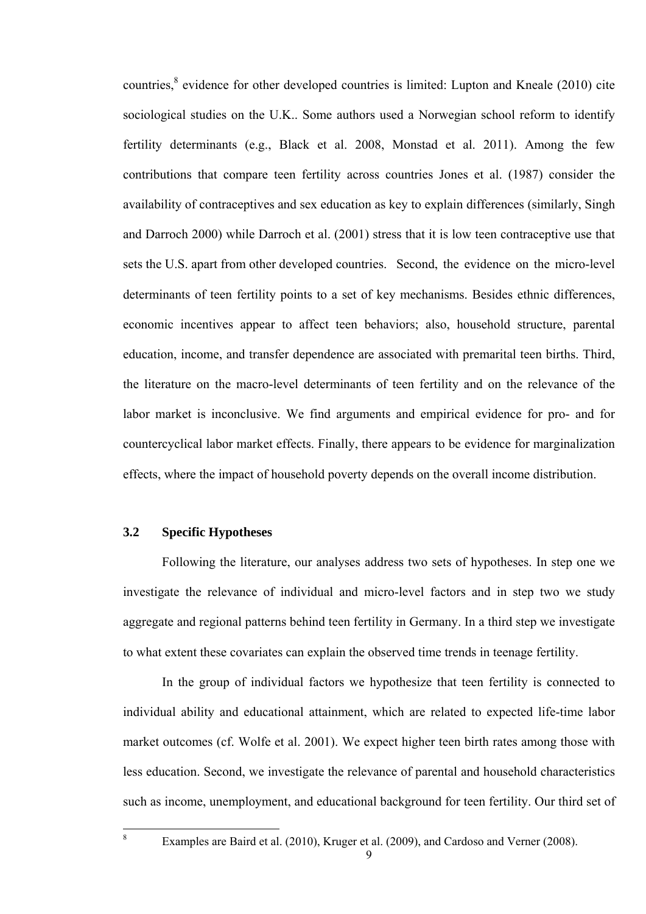countries, ${}^{8}$  evidence for other developed countries is limited: Lupton and Kneale (2010) cite sociological studies on the U.K.. Some authors used a Norwegian school reform to identify fertility determinants (e.g., Black et al. 2008, Monstad et al. 2011). Among the few contributions that compare teen fertility across countries Jones et al. (1987) consider the availability of contraceptives and sex education as key to explain differences (similarly, Singh and Darroch 2000) while Darroch et al. (2001) stress that it is low teen contraceptive use that sets the U.S. apart from other developed countries. Second, the evidence on the micro-level determinants of teen fertility points to a set of key mechanisms. Besides ethnic differences, economic incentives appear to affect teen behaviors; also, household structure, parental education, income, and transfer dependence are associated with premarital teen births. Third, the literature on the macro-level determinants of teen fertility and on the relevance of the labor market is inconclusive. We find arguments and empirical evidence for pro- and for countercyclical labor market effects. Finally, there appears to be evidence for marginalization effects, where the impact of household poverty depends on the overall income distribution.

#### **3.2 Specific Hypotheses**

Following the literature, our analyses address two sets of hypotheses. In step one we investigate the relevance of individual and micro-level factors and in step two we study aggregate and regional patterns behind teen fertility in Germany. In a third step we investigate to what extent these covariates can explain the observed time trends in teenage fertility.

In the group of individual factors we hypothesize that teen fertility is connected to individual ability and educational attainment, which are related to expected life-time labor market outcomes (cf. Wolfe et al. 2001). We expect higher teen birth rates among those with less education. Second, we investigate the relevance of parental and household characteristics such as income, unemployment, and educational background for teen fertility. Our third set of

8

Examples are Baird et al. (2010), Kruger et al. (2009), and Cardoso and Verner (2008).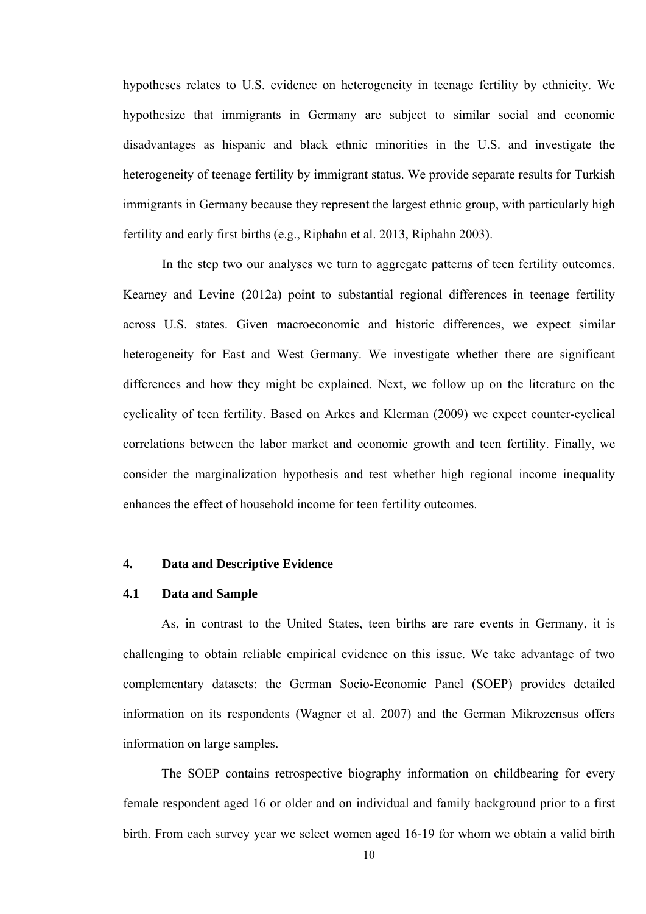hypotheses relates to U.S. evidence on heterogeneity in teenage fertility by ethnicity. We hypothesize that immigrants in Germany are subject to similar social and economic disadvantages as hispanic and black ethnic minorities in the U.S. and investigate the heterogeneity of teenage fertility by immigrant status. We provide separate results for Turkish immigrants in Germany because they represent the largest ethnic group, with particularly high fertility and early first births (e.g., Riphahn et al. 2013, Riphahn 2003).

In the step two our analyses we turn to aggregate patterns of teen fertility outcomes. Kearney and Levine (2012a) point to substantial regional differences in teenage fertility across U.S. states. Given macroeconomic and historic differences, we expect similar heterogeneity for East and West Germany. We investigate whether there are significant differences and how they might be explained. Next, we follow up on the literature on the cyclicality of teen fertility. Based on Arkes and Klerman (2009) we expect counter-cyclical correlations between the labor market and economic growth and teen fertility. Finally, we consider the marginalization hypothesis and test whether high regional income inequality enhances the effect of household income for teen fertility outcomes.

#### **4. Data and Descriptive Evidence**

#### **4.1 Data and Sample**

As, in contrast to the United States, teen births are rare events in Germany, it is challenging to obtain reliable empirical evidence on this issue. We take advantage of two complementary datasets: the German Socio-Economic Panel (SOEP) provides detailed information on its respondents (Wagner et al. 2007) and the German Mikrozensus offers information on large samples.

The SOEP contains retrospective biography information on childbearing for every female respondent aged 16 or older and on individual and family background prior to a first birth. From each survey year we select women aged 16-19 for whom we obtain a valid birth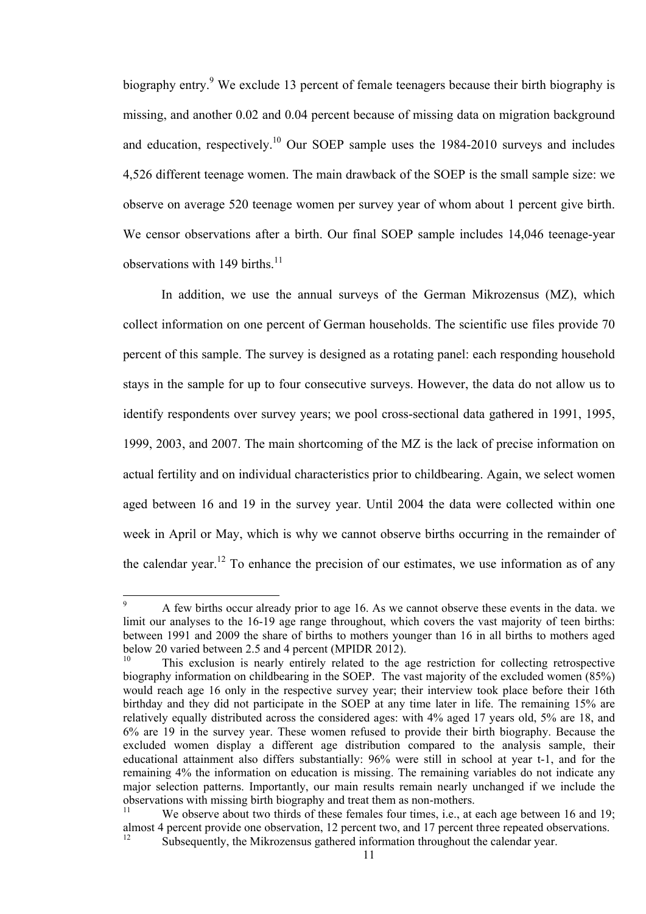biography entry.<sup>9</sup> We exclude 13 percent of female teenagers because their birth biography is missing, and another 0.02 and 0.04 percent because of missing data on migration background and education, respectively.<sup>10</sup> Our SOEP sample uses the  $1984-2010$  surveys and includes 4,526 different teenage women. The main drawback of the SOEP is the small sample size: we observe on average 520 teenage women per survey year of whom about 1 percent give birth. We censor observations after a birth. Our final SOEP sample includes 14,046 teenage-year observations with 149 births. $^{11}$ 

In addition, we use the annual surveys of the German Mikrozensus (MZ), which collect information on one percent of German households. The scientific use files provide 70 percent of this sample. The survey is designed as a rotating panel: each responding household stays in the sample for up to four consecutive surveys. However, the data do not allow us to identify respondents over survey years; we pool cross-sectional data gathered in 1991, 1995, 1999, 2003, and 2007. The main shortcoming of the MZ is the lack of precise information on actual fertility and on individual characteristics prior to childbearing. Again, we select women aged between 16 and 19 in the survey year. Until 2004 the data were collected within one week in April or May, which is why we cannot observe births occurring in the remainder of the calendar year.<sup>12</sup> To enhance the precision of our estimates, we use information as of any

 9 A few births occur already prior to age 16. As we cannot observe these events in the data. we limit our analyses to the 16-19 age range throughout, which covers the vast majority of teen births: between 1991 and 2009 the share of births to mothers younger than 16 in all births to mothers aged below 20 varied between 2.5 and 4 percent (MPIDR 2012).

This exclusion is nearly entirely related to the age restriction for collecting retrospective biography information on childbearing in the SOEP. The vast majority of the excluded women (85%) would reach age 16 only in the respective survey year; their interview took place before their 16th birthday and they did not participate in the SOEP at any time later in life. The remaining 15% are relatively equally distributed across the considered ages: with 4% aged 17 years old, 5% are 18, and 6% are 19 in the survey year. These women refused to provide their birth biography. Because the excluded women display a different age distribution compared to the analysis sample, their educational attainment also differs substantially: 96% were still in school at year t-1, and for the remaining 4% the information on education is missing. The remaining variables do not indicate any major selection patterns. Importantly, our main results remain nearly unchanged if we include the observations with missing birth biography and treat them as non-mothers.

We observe about two thirds of these females four times, i.e., at each age between 16 and 19; almost 4 percent provide one observation, 12 percent two, and 17 percent three repeated observations.

Subsequently, the Mikrozensus gathered information throughout the calendar year.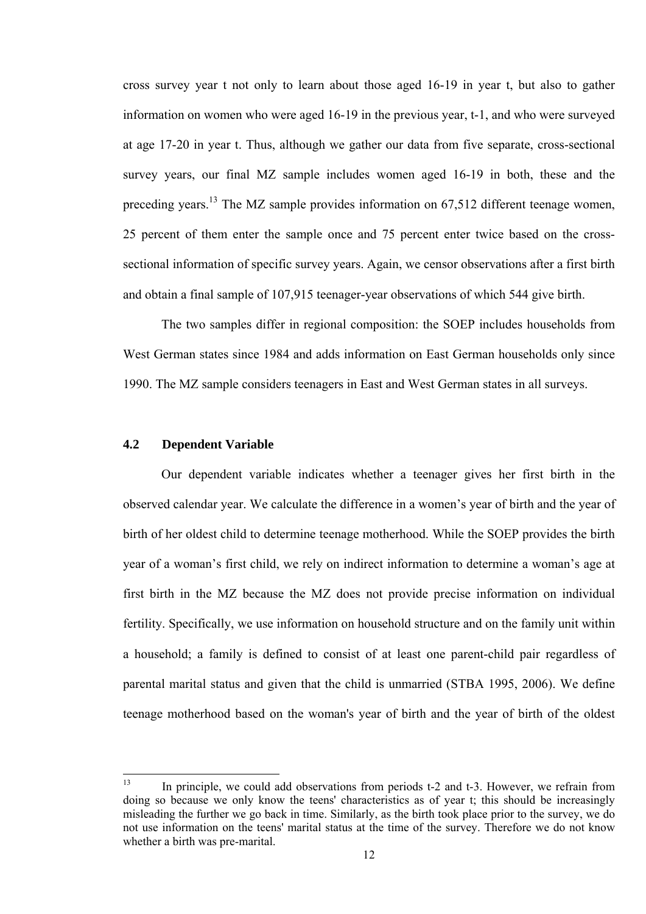cross survey year t not only to learn about those aged 16-19 in year t, but also to gather information on women who were aged 16-19 in the previous year, t-1, and who were surveyed at age 17-20 in year t. Thus, although we gather our data from five separate, cross-sectional survey years, our final MZ sample includes women aged 16-19 in both, these and the preceding years.<sup>13</sup> The MZ sample provides information on 67,512 different teenage women, 25 percent of them enter the sample once and 75 percent enter twice based on the crosssectional information of specific survey years. Again, we censor observations after a first birth and obtain a final sample of 107,915 teenager-year observations of which 544 give birth.

The two samples differ in regional composition: the SOEP includes households from West German states since 1984 and adds information on East German households only since 1990. The MZ sample considers teenagers in East and West German states in all surveys.

#### **4.2 Dependent Variable**

Our dependent variable indicates whether a teenager gives her first birth in the observed calendar year. We calculate the difference in a women's year of birth and the year of birth of her oldest child to determine teenage motherhood. While the SOEP provides the birth year of a woman's first child, we rely on indirect information to determine a woman's age at first birth in the MZ because the MZ does not provide precise information on individual fertility. Specifically, we use information on household structure and on the family unit within a household; a family is defined to consist of at least one parent-child pair regardless of parental marital status and given that the child is unmarried (STBA 1995, 2006). We define teenage motherhood based on the woman's year of birth and the year of birth of the oldest

<sup>13</sup> In principle, we could add observations from periods t-2 and t-3. However, we refrain from doing so because we only know the teens' characteristics as of year t; this should be increasingly misleading the further we go back in time. Similarly, as the birth took place prior to the survey, we do not use information on the teens' marital status at the time of the survey. Therefore we do not know whether a birth was pre-marital.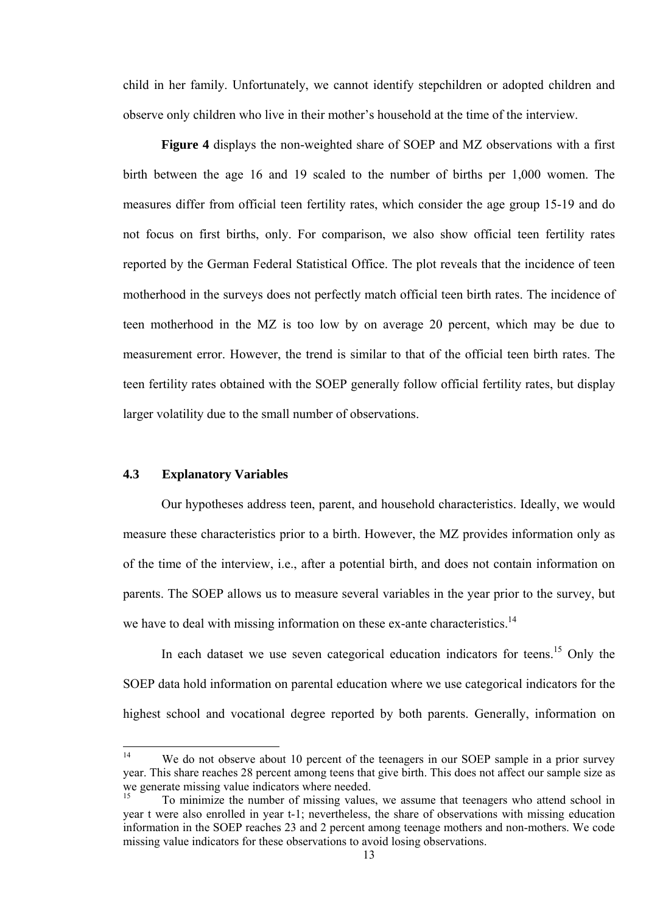child in her family. Unfortunately, we cannot identify stepchildren or adopted children and observe only children who live in their mother's household at the time of the interview.

**Figure 4** displays the non-weighted share of SOEP and MZ observations with a first birth between the age 16 and 19 scaled to the number of births per 1,000 women. The measures differ from official teen fertility rates, which consider the age group 15-19 and do not focus on first births, only. For comparison, we also show official teen fertility rates reported by the German Federal Statistical Office. The plot reveals that the incidence of teen motherhood in the surveys does not perfectly match official teen birth rates. The incidence of teen motherhood in the MZ is too low by on average 20 percent, which may be due to measurement error. However, the trend is similar to that of the official teen birth rates. The teen fertility rates obtained with the SOEP generally follow official fertility rates, but display larger volatility due to the small number of observations.

#### **4.3 Explanatory Variables**

Our hypotheses address teen, parent, and household characteristics. Ideally, we would measure these characteristics prior to a birth. However, the MZ provides information only as of the time of the interview, i.e., after a potential birth, and does not contain information on parents. The SOEP allows us to measure several variables in the year prior to the survey, but we have to deal with missing information on these ex-ante characteristics.<sup>14</sup>

In each dataset we use seven categorical education indicators for teens.<sup>15</sup> Only the SOEP data hold information on parental education where we use categorical indicators for the highest school and vocational degree reported by both parents. Generally, information on

We do not observe about 10 percent of the teenagers in our SOEP sample in a prior survey year. This share reaches 28 percent among teens that give birth. This does not affect our sample size as we generate missing value indicators where needed.

<sup>15</sup> To minimize the number of missing values, we assume that teenagers who attend school in year t were also enrolled in year t-1; nevertheless, the share of observations with missing education information in the SOEP reaches 23 and 2 percent among teenage mothers and non-mothers. We code missing value indicators for these observations to avoid losing observations.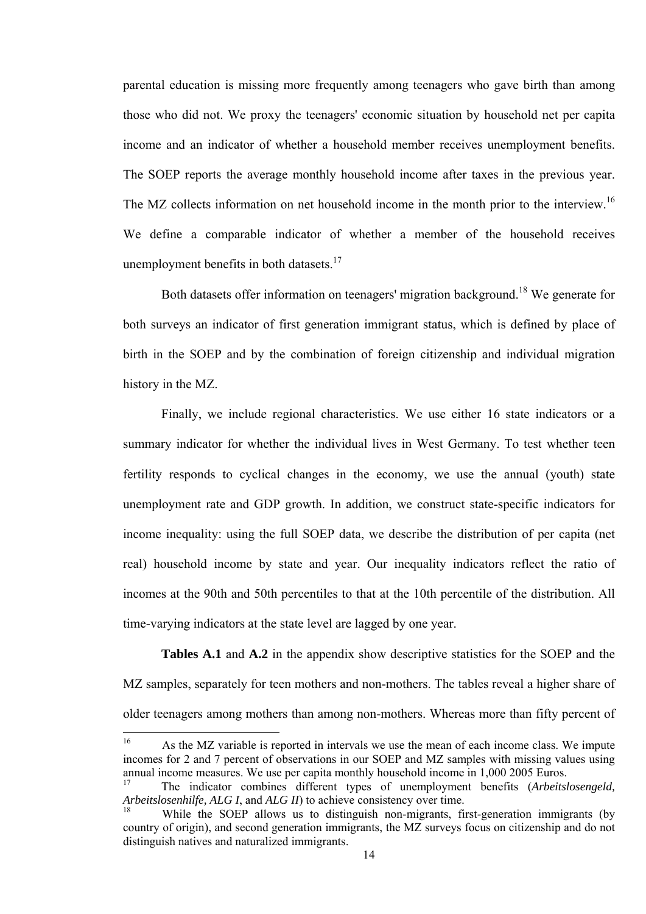parental education is missing more frequently among teenagers who gave birth than among those who did not. We proxy the teenagers' economic situation by household net per capita income and an indicator of whether a household member receives unemployment benefits. The SOEP reports the average monthly household income after taxes in the previous year. The MZ collects information on net household income in the month prior to the interview.<sup>16</sup> We define a comparable indicator of whether a member of the household receives unemployment benefits in both datasets. $17$ 

Both datasets offer information on teenagers' migration background.<sup>18</sup> We generate for both surveys an indicator of first generation immigrant status, which is defined by place of birth in the SOEP and by the combination of foreign citizenship and individual migration history in the MZ.

Finally, we include regional characteristics. We use either 16 state indicators or a summary indicator for whether the individual lives in West Germany. To test whether teen fertility responds to cyclical changes in the economy, we use the annual (youth) state unemployment rate and GDP growth. In addition, we construct state-specific indicators for income inequality: using the full SOEP data, we describe the distribution of per capita (net real) household income by state and year. Our inequality indicators reflect the ratio of incomes at the 90th and 50th percentiles to that at the 10th percentile of the distribution. All time-varying indicators at the state level are lagged by one year.

**Tables A.1** and **A.2** in the appendix show descriptive statistics for the SOEP and the MZ samples, separately for teen mothers and non-mothers. The tables reveal a higher share of older teenagers among mothers than among non-mothers. Whereas more than fifty percent of

 $16<sup>1</sup>$ As the MZ variable is reported in intervals we use the mean of each income class. We impute incomes for 2 and 7 percent of observations in our SOEP and MZ samples with missing values using annual income measures. We use per capita monthly household income in 1,000 2005 Euros.<br><sup>17</sup> The indicator combines, different types of unemployment benefits (Arbeits)

<sup>17</sup> The indicator combines different types of unemployment benefits (*Arbeitslosengeld, Arbeitslosenhilfe, ALG I*, and *ALG II*) to achieve consistency over time.

While the SOEP allows us to distinguish non-migrants, first-generation immigrants (by country of origin), and second generation immigrants, the MZ surveys focus on citizenship and do not distinguish natives and naturalized immigrants.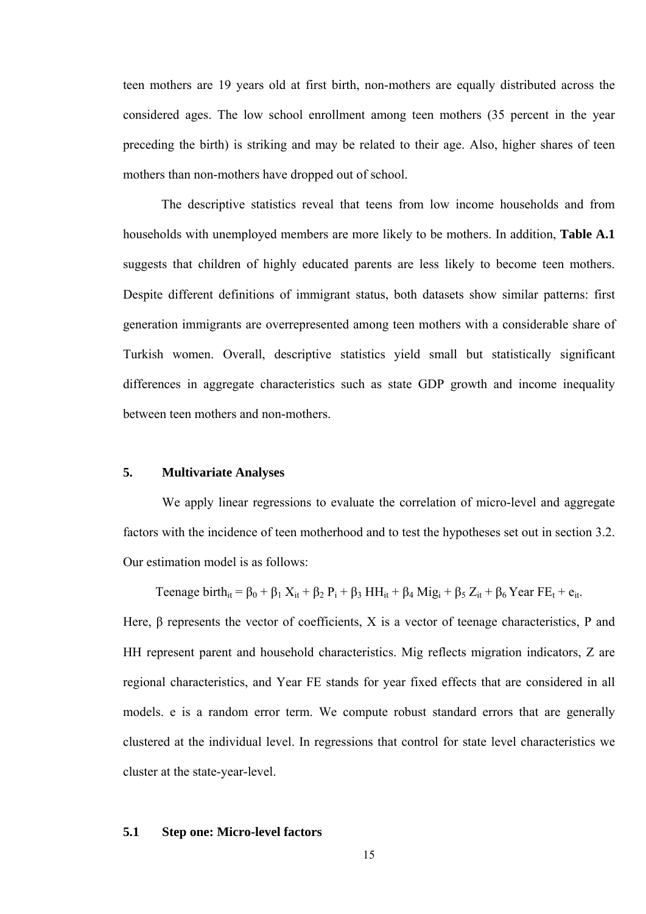teen mothers are 19 years old at first birth, non-mothers are equally distributed across the considered ages. The low school enrollment among teen mothers (35 percent in the year preceding the birth) is striking and may be related to their age. Also, higher shares of teen mothers than non-mothers have dropped out of school.

The descriptive statistics reveal that teens from low income households and from households with unemployed members are more likely to be mothers. In addition, **Table A.1** suggests that children of highly educated parents are less likely to become teen mothers. Despite different definitions of immigrant status, both datasets show similar patterns: first generation immigrants are overrepresented among teen mothers with a considerable share of Turkish women. Overall, descriptive statistics yield small but statistically significant differences in aggregate characteristics such as state GDP growth and income inequality between teen mothers and non-mothers.

#### **5. Multivariate Analyses**

 We apply linear regressions to evaluate the correlation of micro-level and aggregate factors with the incidence of teen motherhood and to test the hypotheses set out in section 3.2. Our estimation model is as follows:

Teenage birth<sub>it</sub> =  $\beta_0$  +  $\beta_1$  X<sub>it</sub> +  $\beta_2$  P<sub>i</sub> +  $\beta_3$  HH<sub>it</sub> +  $\beta_4$  Mig<sub>i</sub> +  $\beta_5$  Z<sub>it</sub> +  $\beta_6$  Year FE<sub>t</sub> +  $e_{it}$ . Here, β represents the vector of coefficients, X is a vector of teenage characteristics, P and HH represent parent and household characteristics. Mig reflects migration indicators, Z are regional characteristics, and Year FE stands for year fixed effects that are considered in all models. e is a random error term. We compute robust standard errors that are generally clustered at the individual level. In regressions that control for state level characteristics we cluster at the state-year-level.

#### **5.1 Step one: Micro-level factors**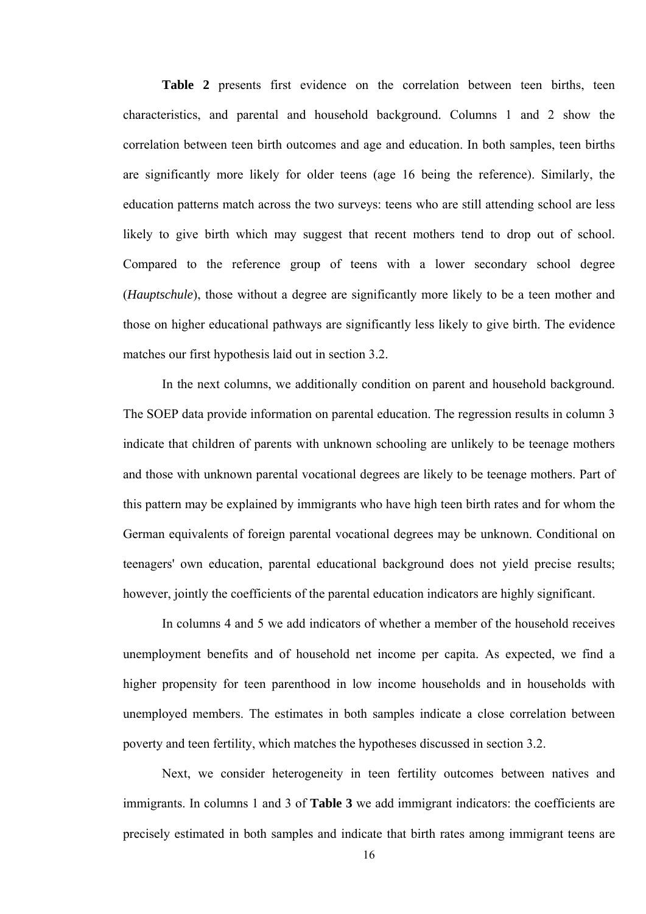**Table 2** presents first evidence on the correlation between teen births, teen characteristics, and parental and household background. Columns 1 and 2 show the correlation between teen birth outcomes and age and education. In both samples, teen births are significantly more likely for older teens (age 16 being the reference). Similarly, the education patterns match across the two surveys: teens who are still attending school are less likely to give birth which may suggest that recent mothers tend to drop out of school. Compared to the reference group of teens with a lower secondary school degree (*Hauptschule*), those without a degree are significantly more likely to be a teen mother and those on higher educational pathways are significantly less likely to give birth. The evidence matches our first hypothesis laid out in section 3.2.

In the next columns, we additionally condition on parent and household background. The SOEP data provide information on parental education. The regression results in column 3 indicate that children of parents with unknown schooling are unlikely to be teenage mothers and those with unknown parental vocational degrees are likely to be teenage mothers. Part of this pattern may be explained by immigrants who have high teen birth rates and for whom the German equivalents of foreign parental vocational degrees may be unknown. Conditional on teenagers' own education, parental educational background does not yield precise results; however, jointly the coefficients of the parental education indicators are highly significant.

In columns 4 and 5 we add indicators of whether a member of the household receives unemployment benefits and of household net income per capita. As expected, we find a higher propensity for teen parenthood in low income households and in households with unemployed members. The estimates in both samples indicate a close correlation between poverty and teen fertility, which matches the hypotheses discussed in section 3.2.

Next, we consider heterogeneity in teen fertility outcomes between natives and immigrants. In columns 1 and 3 of **Table 3** we add immigrant indicators: the coefficients are precisely estimated in both samples and indicate that birth rates among immigrant teens are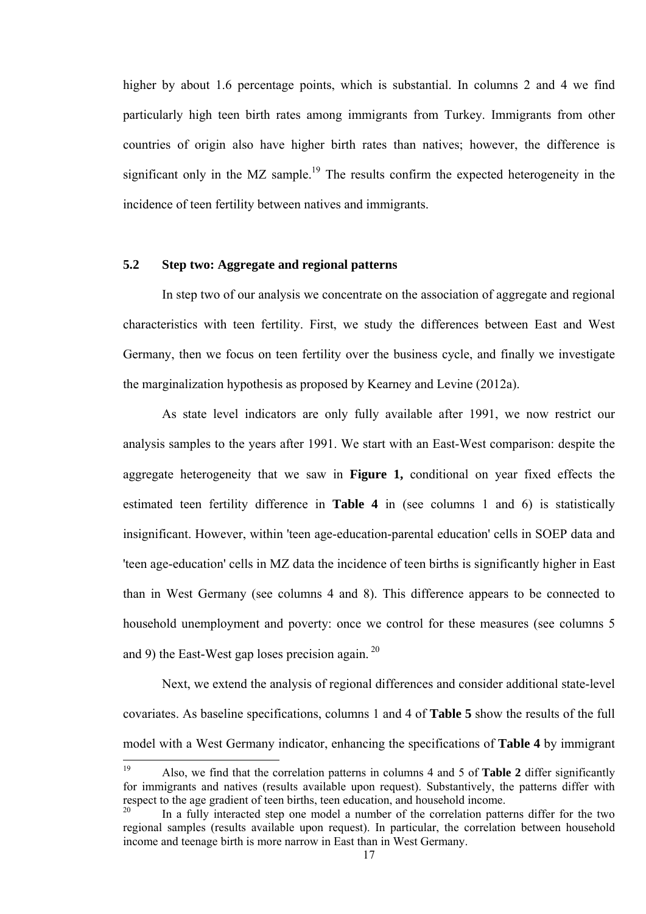higher by about 1.6 percentage points, which is substantial. In columns 2 and 4 we find particularly high teen birth rates among immigrants from Turkey. Immigrants from other countries of origin also have higher birth rates than natives; however, the difference is significant only in the MZ sample.<sup>19</sup> The results confirm the expected heterogeneity in the incidence of teen fertility between natives and immigrants.

#### **5.2 Step two: Aggregate and regional patterns**

In step two of our analysis we concentrate on the association of aggregate and regional characteristics with teen fertility. First, we study the differences between East and West Germany, then we focus on teen fertility over the business cycle, and finally we investigate the marginalization hypothesis as proposed by Kearney and Levine (2012a).

As state level indicators are only fully available after 1991, we now restrict our analysis samples to the years after 1991. We start with an East-West comparison: despite the aggregate heterogeneity that we saw in **Figure 1,** conditional on year fixed effects the estimated teen fertility difference in **Table 4** in (see columns 1 and 6) is statistically insignificant. However, within 'teen age-education-parental education' cells in SOEP data and 'teen age-education' cells in MZ data the incidence of teen births is significantly higher in East than in West Germany (see columns 4 and 8). This difference appears to be connected to household unemployment and poverty: once we control for these measures (see columns 5 and 9) the East-West gap loses precision again. 20

Next, we extend the analysis of regional differences and consider additional state-level covariates. As baseline specifications, columns 1 and 4 of **Table 5** show the results of the full model with a West Germany indicator, enhancing the specifications of **Table 4** by immigrant

<sup>19</sup> 19 Also, we find that the correlation patterns in columns 4 and 5 of **Table 2** differ significantly for immigrants and natives (results available upon request). Substantively, the patterns differ with respect to the age gradient of teen births, teen education, and household income.

<sup>20</sup> In a fully interacted step one model a number of the correlation patterns differ for the two regional samples (results available upon request). In particular, the correlation between household income and teenage birth is more narrow in East than in West Germany.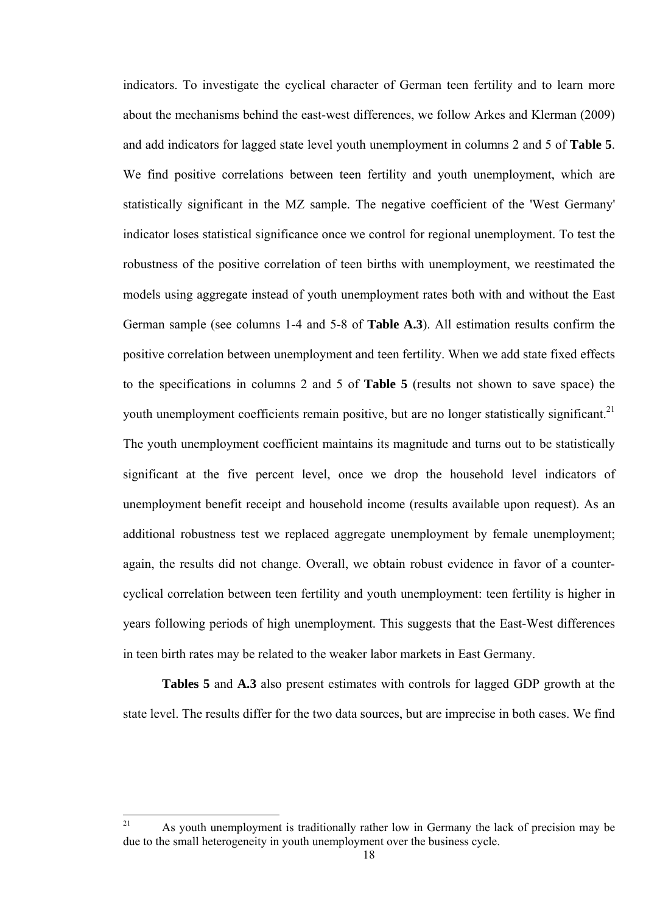indicators. To investigate the cyclical character of German teen fertility and to learn more about the mechanisms behind the east-west differences, we follow Arkes and Klerman (2009) and add indicators for lagged state level youth unemployment in columns 2 and 5 of **Table 5**. We find positive correlations between teen fertility and youth unemployment, which are statistically significant in the MZ sample. The negative coefficient of the 'West Germany' indicator loses statistical significance once we control for regional unemployment. To test the robustness of the positive correlation of teen births with unemployment, we reestimated the models using aggregate instead of youth unemployment rates both with and without the East German sample (see columns 1-4 and 5-8 of **Table A.3**). All estimation results confirm the positive correlation between unemployment and teen fertility. When we add state fixed effects to the specifications in columns 2 and 5 of **Table 5** (results not shown to save space) the youth unemployment coefficients remain positive, but are no longer statistically significant.<sup>21</sup> The youth unemployment coefficient maintains its magnitude and turns out to be statistically significant at the five percent level, once we drop the household level indicators of unemployment benefit receipt and household income (results available upon request). As an additional robustness test we replaced aggregate unemployment by female unemployment; again, the results did not change. Overall, we obtain robust evidence in favor of a countercyclical correlation between teen fertility and youth unemployment: teen fertility is higher in years following periods of high unemployment. This suggests that the East-West differences in teen birth rates may be related to the weaker labor markets in East Germany.

**Tables 5** and **A.3** also present estimates with controls for lagged GDP growth at the state level. The results differ for the two data sources, but are imprecise in both cases. We find

 $21$ As youth unemployment is traditionally rather low in Germany the lack of precision may be due to the small heterogeneity in youth unemployment over the business cycle.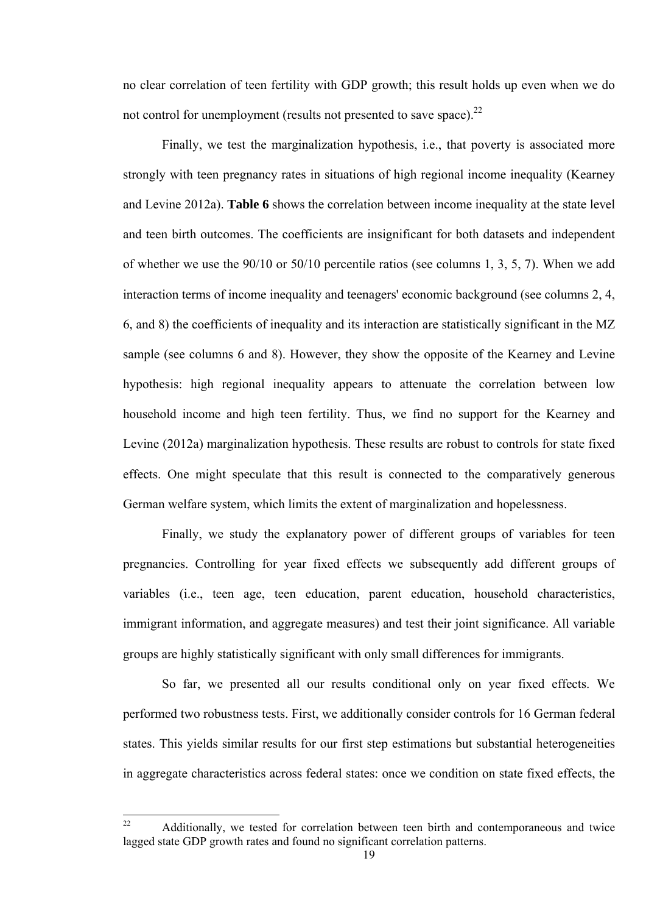no clear correlation of teen fertility with GDP growth; this result holds up even when we do not control for unemployment (results not presented to save space). $^{22}$ 

Finally, we test the marginalization hypothesis, i.e., that poverty is associated more strongly with teen pregnancy rates in situations of high regional income inequality (Kearney and Levine 2012a). **Table 6** shows the correlation between income inequality at the state level and teen birth outcomes. The coefficients are insignificant for both datasets and independent of whether we use the  $90/10$  or  $50/10$  percentile ratios (see columns 1, 3, 5, 7). When we add interaction terms of income inequality and teenagers' economic background (see columns 2, 4, 6, and 8) the coefficients of inequality and its interaction are statistically significant in the MZ sample (see columns 6 and 8). However, they show the opposite of the Kearney and Levine hypothesis: high regional inequality appears to attenuate the correlation between low household income and high teen fertility. Thus, we find no support for the Kearney and Levine (2012a) marginalization hypothesis. These results are robust to controls for state fixed effects. One might speculate that this result is connected to the comparatively generous German welfare system, which limits the extent of marginalization and hopelessness.

Finally, we study the explanatory power of different groups of variables for teen pregnancies. Controlling for year fixed effects we subsequently add different groups of variables (i.e., teen age, teen education, parent education, household characteristics, immigrant information, and aggregate measures) and test their joint significance. All variable groups are highly statistically significant with only small differences for immigrants.

So far, we presented all our results conditional only on year fixed effects. We performed two robustness tests. First, we additionally consider controls for 16 German federal states. This yields similar results for our first step estimations but substantial heterogeneities in aggregate characteristics across federal states: once we condition on state fixed effects, the

<sup>22</sup> Additionally, we tested for correlation between teen birth and contemporaneous and twice lagged state GDP growth rates and found no significant correlation patterns.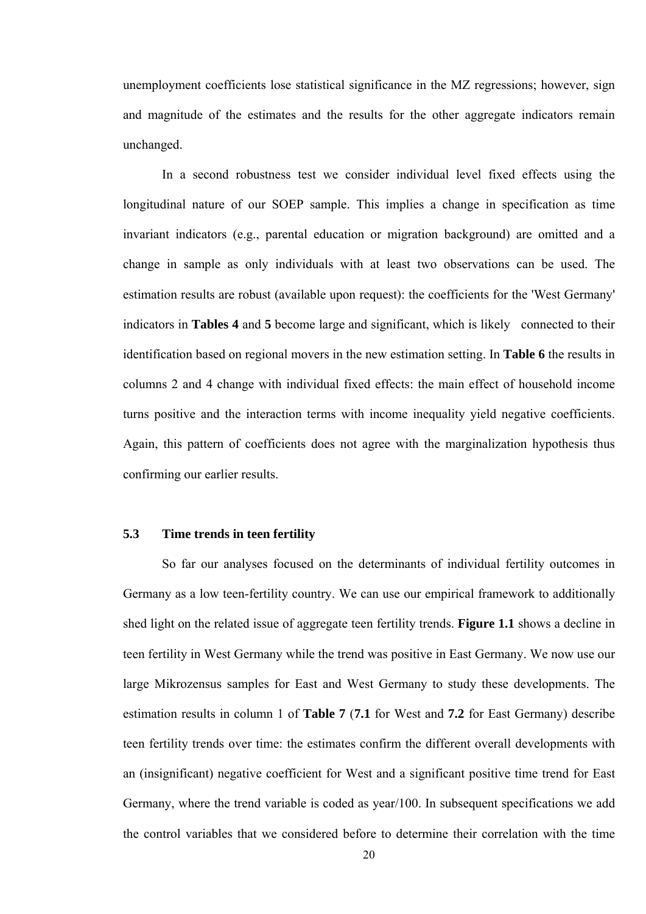unemployment coefficients lose statistical significance in the MZ regressions; however, sign and magnitude of the estimates and the results for the other aggregate indicators remain unchanged.

In a second robustness test we consider individual level fixed effects using the longitudinal nature of our SOEP sample. This implies a change in specification as time invariant indicators (e.g., parental education or migration background) are omitted and a change in sample as only individuals with at least two observations can be used. The estimation results are robust (available upon request): the coefficients for the 'West Germany' indicators in **Tables 4** and **5** become large and significant, which is likely connected to their identification based on regional movers in the new estimation setting. In **Table 6** the results in columns 2 and 4 change with individual fixed effects: the main effect of household income turns positive and the interaction terms with income inequality yield negative coefficients. Again, this pattern of coefficients does not agree with the marginalization hypothesis thus confirming our earlier results.

#### **5.3 Time trends in teen fertility**

 So far our analyses focused on the determinants of individual fertility outcomes in Germany as a low teen-fertility country. We can use our empirical framework to additionally shed light on the related issue of aggregate teen fertility trends. **Figure 1.1** shows a decline in teen fertility in West Germany while the trend was positive in East Germany. We now use our large Mikrozensus samples for East and West Germany to study these developments. The estimation results in column 1 of **Table 7** (**7.1** for West and **7.2** for East Germany) describe teen fertility trends over time: the estimates confirm the different overall developments with an (insignificant) negative coefficient for West and a significant positive time trend for East Germany, where the trend variable is coded as year/100. In subsequent specifications we add the control variables that we considered before to determine their correlation with the time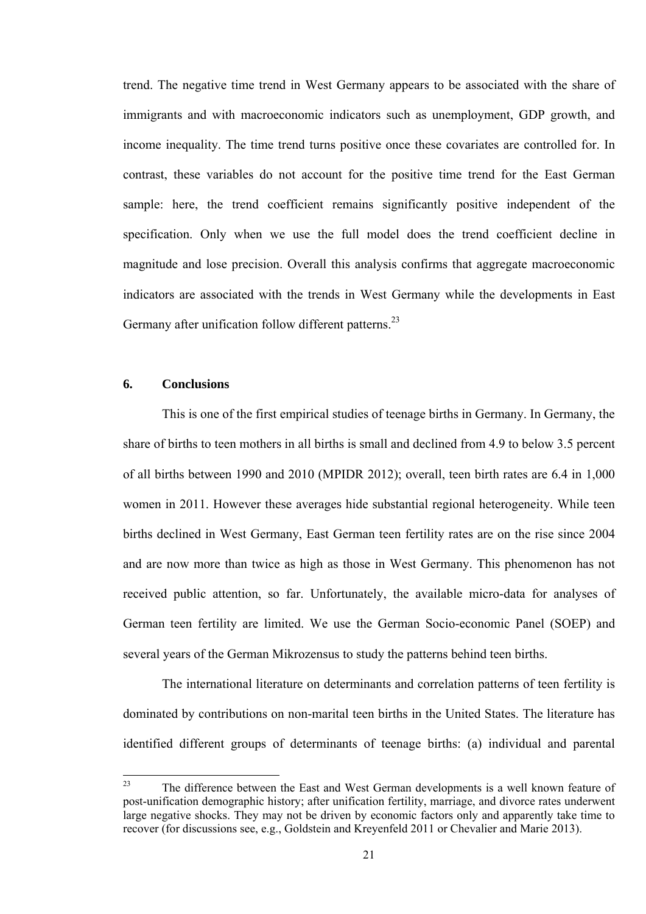trend. The negative time trend in West Germany appears to be associated with the share of immigrants and with macroeconomic indicators such as unemployment, GDP growth, and income inequality. The time trend turns positive once these covariates are controlled for. In contrast, these variables do not account for the positive time trend for the East German sample: here, the trend coefficient remains significantly positive independent of the specification. Only when we use the full model does the trend coefficient decline in magnitude and lose precision. Overall this analysis confirms that aggregate macroeconomic indicators are associated with the trends in West Germany while the developments in East Germany after unification follow different patterns.<sup>23</sup>

#### **6. Conclusions**

This is one of the first empirical studies of teenage births in Germany. In Germany, the share of births to teen mothers in all births is small and declined from 4.9 to below 3.5 percent of all births between 1990 and 2010 (MPIDR 2012); overall, teen birth rates are 6.4 in 1,000 women in 2011. However these averages hide substantial regional heterogeneity. While teen births declined in West Germany, East German teen fertility rates are on the rise since 2004 and are now more than twice as high as those in West Germany. This phenomenon has not received public attention, so far. Unfortunately, the available micro-data for analyses of German teen fertility are limited. We use the German Socio-economic Panel (SOEP) and several years of the German Mikrozensus to study the patterns behind teen births.

The international literature on determinants and correlation patterns of teen fertility is dominated by contributions on non-marital teen births in the United States. The literature has identified different groups of determinants of teenage births: (a) individual and parental

 $23$ The difference between the East and West German developments is a well known feature of post-unification demographic history; after unification fertility, marriage, and divorce rates underwent large negative shocks. They may not be driven by economic factors only and apparently take time to recover (for discussions see, e.g., Goldstein and Kreyenfeld 2011 or Chevalier and Marie 2013).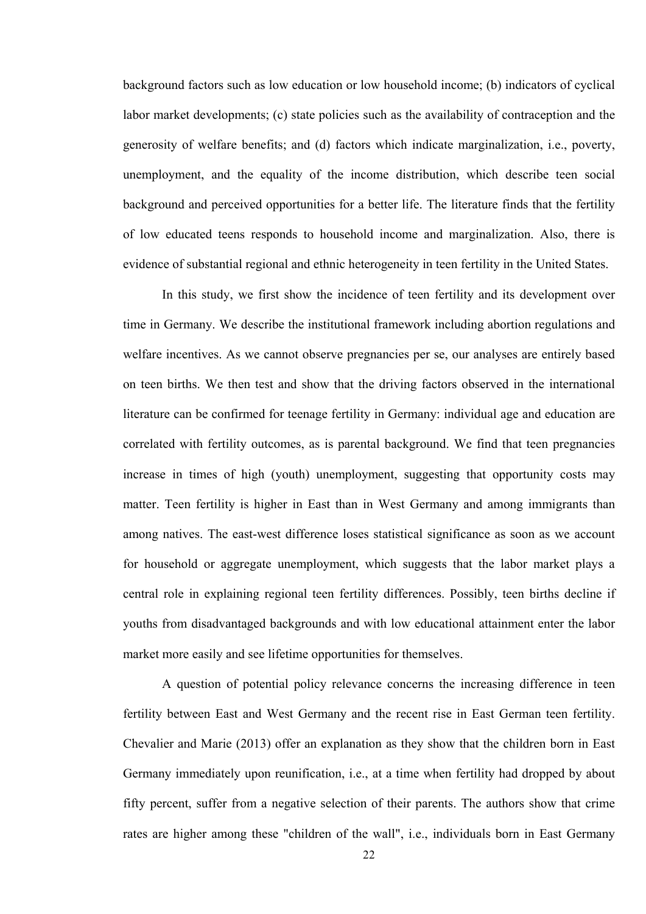background factors such as low education or low household income; (b) indicators of cyclical labor market developments; (c) state policies such as the availability of contraception and the generosity of welfare benefits; and (d) factors which indicate marginalization, i.e., poverty, unemployment, and the equality of the income distribution, which describe teen social background and perceived opportunities for a better life. The literature finds that the fertility of low educated teens responds to household income and marginalization. Also, there is evidence of substantial regional and ethnic heterogeneity in teen fertility in the United States.

In this study, we first show the incidence of teen fertility and its development over time in Germany. We describe the institutional framework including abortion regulations and welfare incentives. As we cannot observe pregnancies per se, our analyses are entirely based on teen births. We then test and show that the driving factors observed in the international literature can be confirmed for teenage fertility in Germany: individual age and education are correlated with fertility outcomes, as is parental background. We find that teen pregnancies increase in times of high (youth) unemployment, suggesting that opportunity costs may matter. Teen fertility is higher in East than in West Germany and among immigrants than among natives. The east-west difference loses statistical significance as soon as we account for household or aggregate unemployment, which suggests that the labor market plays a central role in explaining regional teen fertility differences. Possibly, teen births decline if youths from disadvantaged backgrounds and with low educational attainment enter the labor market more easily and see lifetime opportunities for themselves.

A question of potential policy relevance concerns the increasing difference in teen fertility between East and West Germany and the recent rise in East German teen fertility. Chevalier and Marie (2013) offer an explanation as they show that the children born in East Germany immediately upon reunification, i.e., at a time when fertility had dropped by about fifty percent, suffer from a negative selection of their parents. The authors show that crime rates are higher among these "children of the wall", i.e., individuals born in East Germany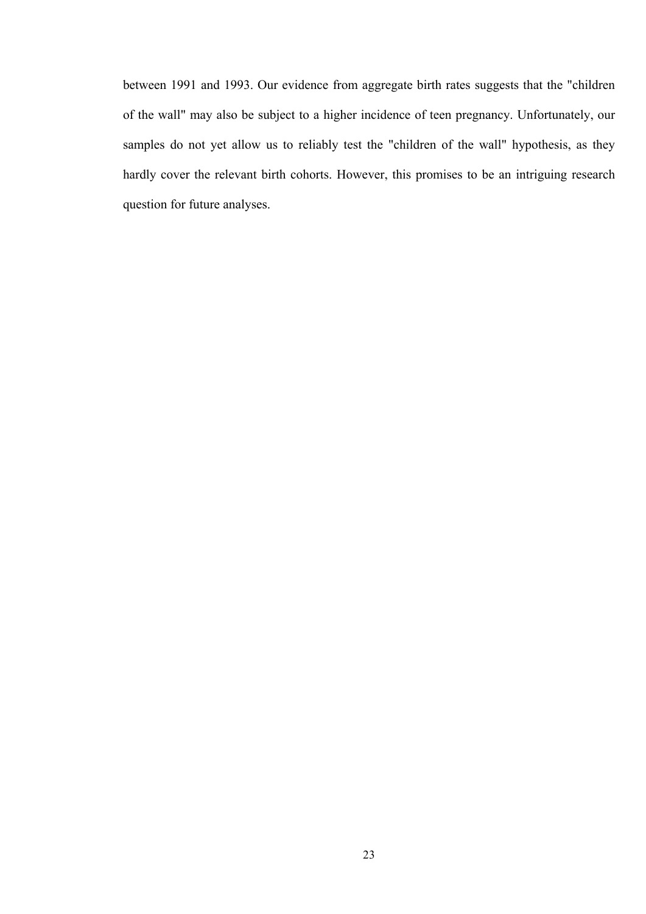between 1991 and 1993. Our evidence from aggregate birth rates suggests that the "children of the wall" may also be subject to a higher incidence of teen pregnancy. Unfortunately, our samples do not yet allow us to reliably test the "children of the wall" hypothesis, as they hardly cover the relevant birth cohorts. However, this promises to be an intriguing research question for future analyses.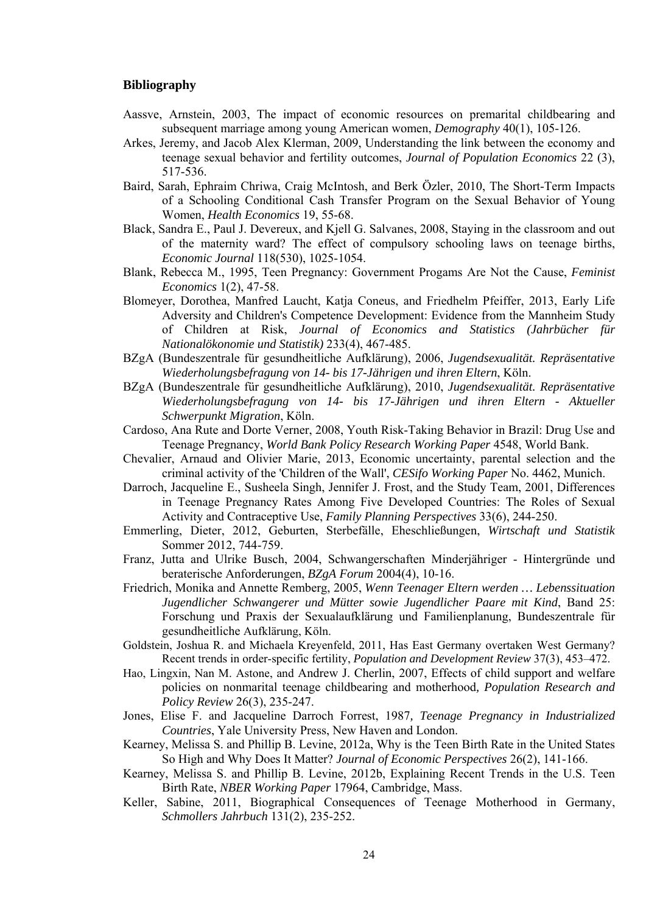#### **Bibliography**

- Aassve, Arnstein, 2003, The impact of economic resources on premarital childbearing and subsequent marriage among young American women, *Demography* 40(1), 105-126.
- Arkes, Jeremy, and Jacob Alex Klerman, 2009, Understanding the link between the economy and teenage sexual behavior and fertility outcomes, *Journal of Population Economics* 22 (3), 517-536.
- Baird, Sarah, Ephraim Chriwa, Craig McIntosh, and Berk Özler, 2010, The Short-Term Impacts of a Schooling Conditional Cash Transfer Program on the Sexual Behavior of Young Women, *Health Economics* 19, 55-68.
- Black, Sandra E., Paul J. Devereux, and Kjell G. Salvanes, 2008, Staying in the classroom and out of the maternity ward? The effect of compulsory schooling laws on teenage births, *Economic Journal* 118(530), 1025-1054.
- Blank, Rebecca M., 1995, Teen Pregnancy: Government Progams Are Not the Cause, *Feminist Economics* 1(2), 47-58.
- Blomeyer, Dorothea, Manfred Laucht, Katja Coneus, and Friedhelm Pfeiffer, 2013, Early Life Adversity and Children's Competence Development: Evidence from the Mannheim Study of Children at Risk, *Journal of Economics and Statistics (Jahrbücher für Nationalökonomie und Statistik)* 233(4), 467-485.
- BZgA (Bundeszentrale für gesundheitliche Aufklärung), 2006, *Jugendsexualität. Repräsentative Wiederholungsbefragung von 14- bis 17-Jährigen und ihren Eltern*, Köln.
- BZgA (Bundeszentrale für gesundheitliche Aufklärung), 2010, *Jugendsexualität. Repräsentative Wiederholungsbefragung von 14- bis 17-Jährigen und ihren Eltern - Aktueller Schwerpunkt Migration*, Köln.
- Cardoso, Ana Rute and Dorte Verner, 2008, Youth Risk-Taking Behavior in Brazil: Drug Use and Teenage Pregnancy, *World Bank Policy Research Working Paper* 4548, World Bank.
- Chevalier, Arnaud and Olivier Marie, 2013, Economic uncertainty, parental selection and the criminal activity of the 'Children of the Wall', *CESifo Working Paper* No. 4462, Munich.
- Darroch, Jacqueline E., Susheela Singh, Jennifer J. Frost, and the Study Team, 2001, Differences in Teenage Pregnancy Rates Among Five Developed Countries: The Roles of Sexual Activity and Contraceptive Use, *Family Planning Perspectives* 33(6), 244-250.
- Emmerling, Dieter, 2012, Geburten, Sterbefälle, Eheschließungen, *Wirtschaft und Statistik* Sommer 2012, 744-759.
- Franz, Jutta and Ulrike Busch, 2004, Schwangerschaften Minderjähriger Hintergründe und beraterische Anforderungen, *BZgA Forum* 2004(4), 10-16.
- Friedrich, Monika and Annette Remberg, 2005, *Wenn Teenager Eltern werden … Lebenssituation Jugendlicher Schwangerer und Mütter sowie Jugendlicher Paare mit Kind*, Band 25: Forschung und Praxis der Sexualaufklärung und Familienplanung, Bundeszentrale für gesundheitliche Aufklärung, Köln.
- Goldstein, Joshua R. and Michaela Kreyenfeld, 2011, Has East Germany overtaken West Germany? Recent trends in order-specific fertility, *Population and Development Review* 37(3), 453–472.
- Hao, Lingxin, Nan M. Astone, and Andrew J. Cherlin, 2007, Effects of child support and welfare policies on nonmarital teenage childbearing and motherhood*, Population Research and Policy Review* 26(3), 235-247.
- Jones, Elise F. and Jacqueline Darroch Forrest, 1987*, Teenage Pregnancy in Industrialized Countries*, Yale University Press, New Haven and London.
- Kearney, Melissa S. and Phillip B. Levine, 2012a, Why is the Teen Birth Rate in the United States So High and Why Does It Matter? *Journal of Economic Perspectives* 26(2), 141-166.
- Kearney, Melissa S. and Phillip B. Levine, 2012b, Explaining Recent Trends in the U.S. Teen Birth Rate, *NBER Working Paper* 17964, Cambridge, Mass.
- Keller, Sabine, 2011, Biographical Consequences of Teenage Motherhood in Germany, *Schmollers Jahrbuch* 131(2), 235-252.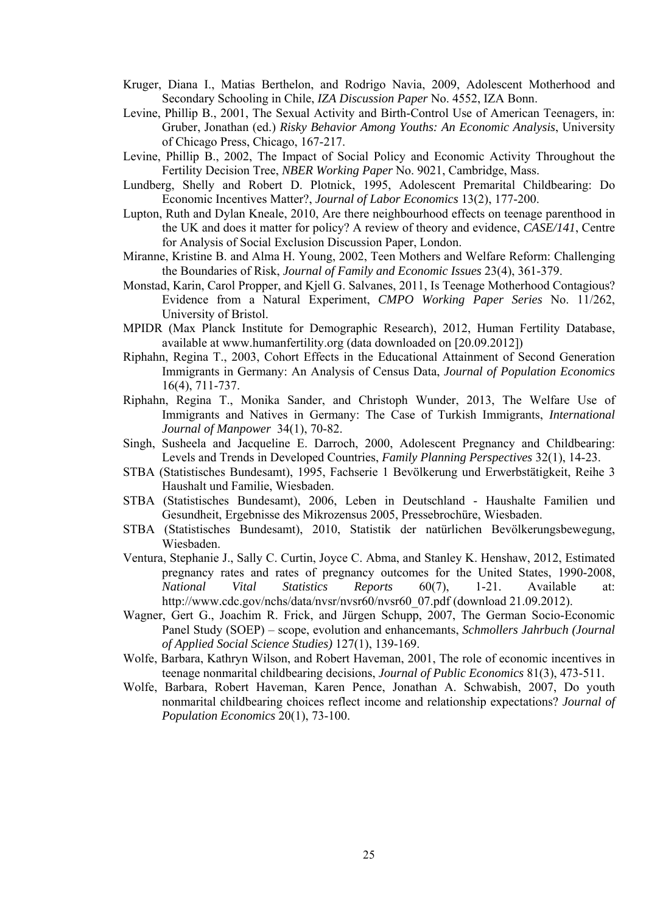- Kruger, Diana I., Matias Berthelon, and Rodrigo Navia, 2009, Adolescent Motherhood and Secondary Schooling in Chile, *IZA Discussion Paper* No. 4552, IZA Bonn.
- Levine, Phillip B., 2001, The Sexual Activity and Birth-Control Use of American Teenagers, in: Gruber, Jonathan (ed.) *Risky Behavior Among Youths: An Economic Analysis*, University of Chicago Press, Chicago, 167-217.
- Levine, Phillip B., 2002, The Impact of Social Policy and Economic Activity Throughout the Fertility Decision Tree, *NBER Working Paper* No. 9021, Cambridge, Mass.
- Lundberg, Shelly and Robert D. Plotnick, 1995, Adolescent Premarital Childbearing: Do Economic Incentives Matter?, *Journal of Labor Economics* 13(2), 177-200.
- Lupton, Ruth and Dylan Kneale, 2010, Are there neighbourhood effects on teenage parenthood in the UK and does it matter for policy? A review of theory and evidence, *CASE/141*, Centre for Analysis of Social Exclusion Discussion Paper, London.
- Miranne, Kristine B. and Alma H. Young, 2002, Teen Mothers and Welfare Reform: Challenging the Boundaries of Risk, *Journal of Family and Economic Issues* 23(4), 361-379.
- Monstad, Karin, Carol Propper, and Kjell G. Salvanes, 2011, Is Teenage Motherhood Contagious? Evidence from a Natural Experiment, *CMPO Working Paper Series* No. 11/262, University of Bristol.
- MPIDR (Max Planck Institute for Demographic Research), 2012, Human Fertility Database, available at www.humanfertility.org (data downloaded on [20.09.2012])
- Riphahn, Regina T., 2003, Cohort Effects in the Educational Attainment of Second Generation Immigrants in Germany: An Analysis of Census Data, *Journal of Population Economics* 16(4), 711-737.
- Riphahn, Regina T., Monika Sander, and Christoph Wunder, 2013, The Welfare Use of Immigrants and Natives in Germany: The Case of Turkish Immigrants, *International Journal of Manpower* 34(1), 70-82.
- Singh, Susheela and Jacqueline E. Darroch, 2000, Adolescent Pregnancy and Childbearing: Levels and Trends in Developed Countries, *Family Planning Perspectives* 32(1), 14-23.
- STBA (Statistisches Bundesamt), 1995, Fachserie 1 Bevölkerung und Erwerbstätigkeit, Reihe 3 Haushalt und Familie, Wiesbaden.
- STBA (Statistisches Bundesamt), 2006, Leben in Deutschland Haushalte Familien und Gesundheit, Ergebnisse des Mikrozensus 2005, Pressebrochüre, Wiesbaden.
- STBA (Statistisches Bundesamt), 2010, Statistik der natürlichen Bevölkerungsbewegung, Wiesbaden.
- Ventura, Stephanie J., Sally C. Curtin, Joyce C. Abma, and Stanley K. Henshaw, 2012, Estimated pregnancy rates and rates of pregnancy outcomes for the United States, 1990-2008, *National Vital Statistics Reports* 60(7), 1-21. Available at: http://www.cdc.gov/nchs/data/nvsr/nvsr60/nvsr60\_07.pdf (download 21.09.2012).
- Wagner, Gert G., Joachim R. Frick, and Jürgen Schupp, 2007, The German Socio-Economic Panel Study (SOEP) – scope, evolution and enhancemants, *Schmollers Jahrbuch (Journal of Applied Social Science Studies)* 127(1), 139-169.
- Wolfe, Barbara, Kathryn Wilson, and Robert Haveman, 2001, The role of economic incentives in teenage nonmarital childbearing decisions, *Journal of Public Economics* 81(3), 473-511.
- Wolfe, Barbara, Robert Haveman, Karen Pence, Jonathan A. Schwabish, 2007, Do youth nonmarital childbearing choices reflect income and relationship expectations? *Journal of Population Economics* 20(1), 73-100.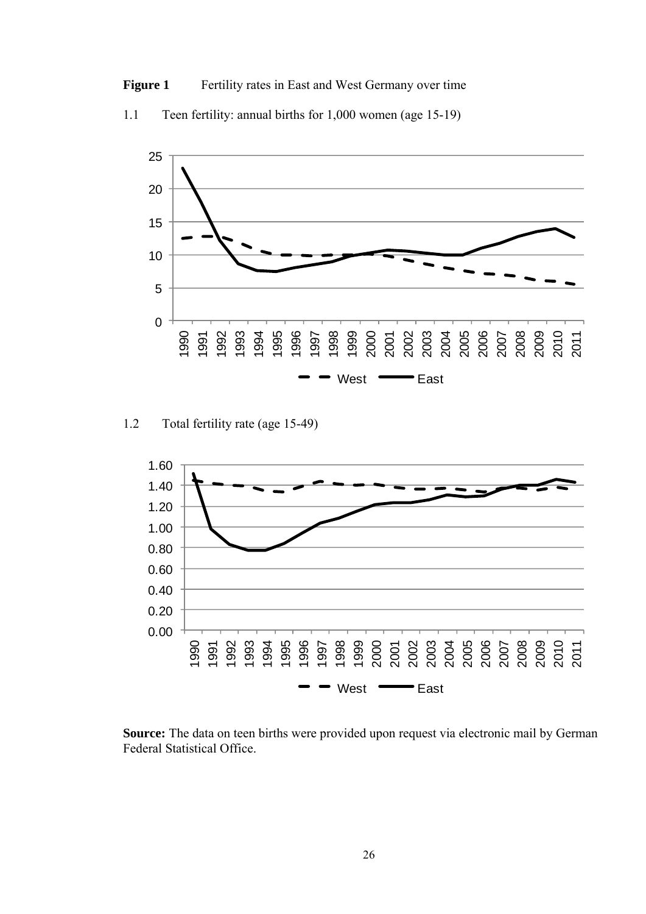



1.1 Teen fertility: annual births for 1,000 women (age 15-19)

1.2 Total fertility rate (age 15-49)



**Source:** The data on teen births were provided upon request via electronic mail by German Federal Statistical Office.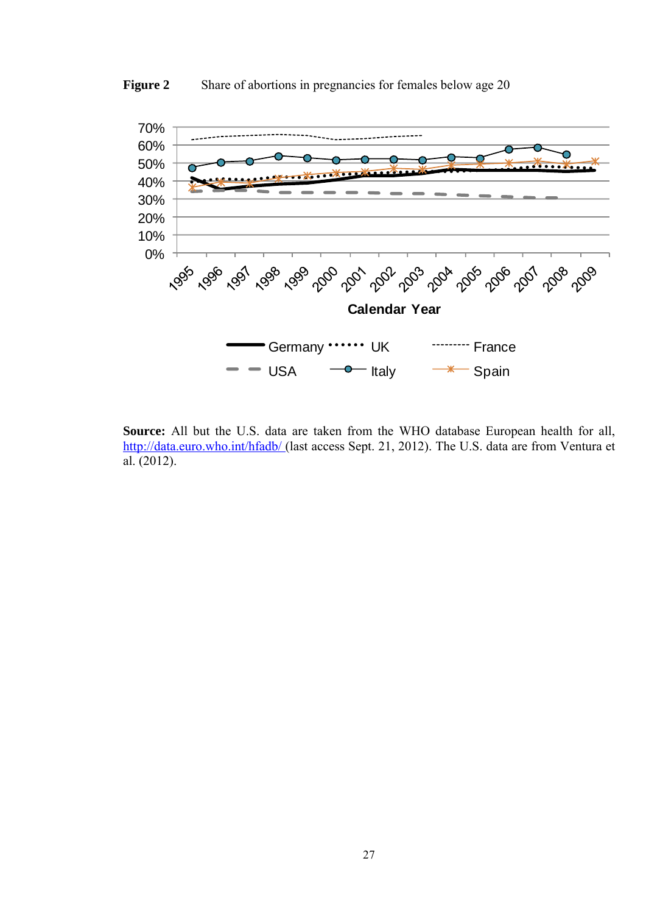



**Source:** All but the U.S. data are taken from the WHO database European health for all, http://data.euro.who.int/hfadb/ (last access Sept. 21, 2012). The U.S. data are from Ventura et al. (2012).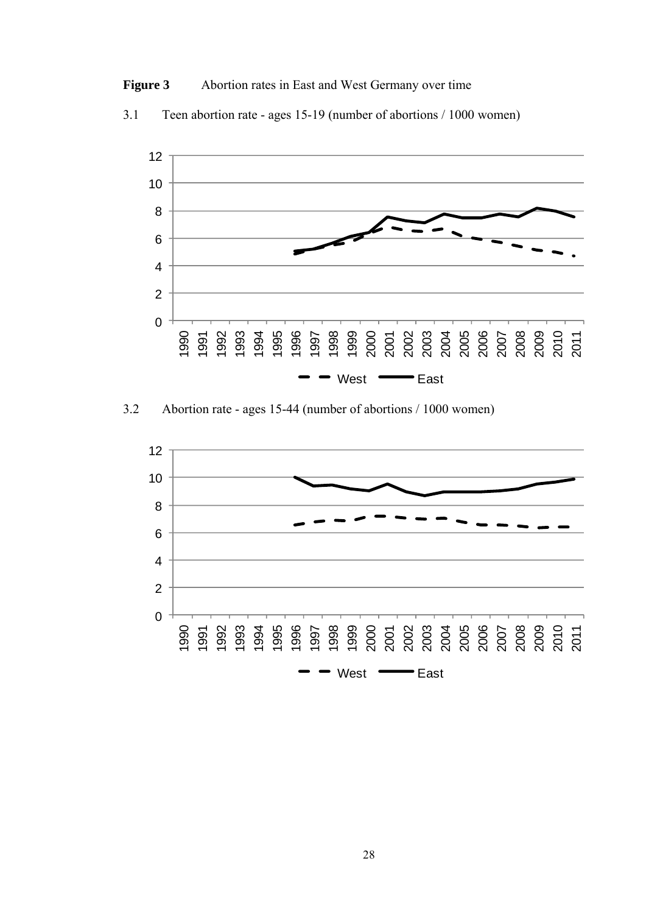





3.2 Abortion rate - ages 15-44 (number of abortions / 1000 women)

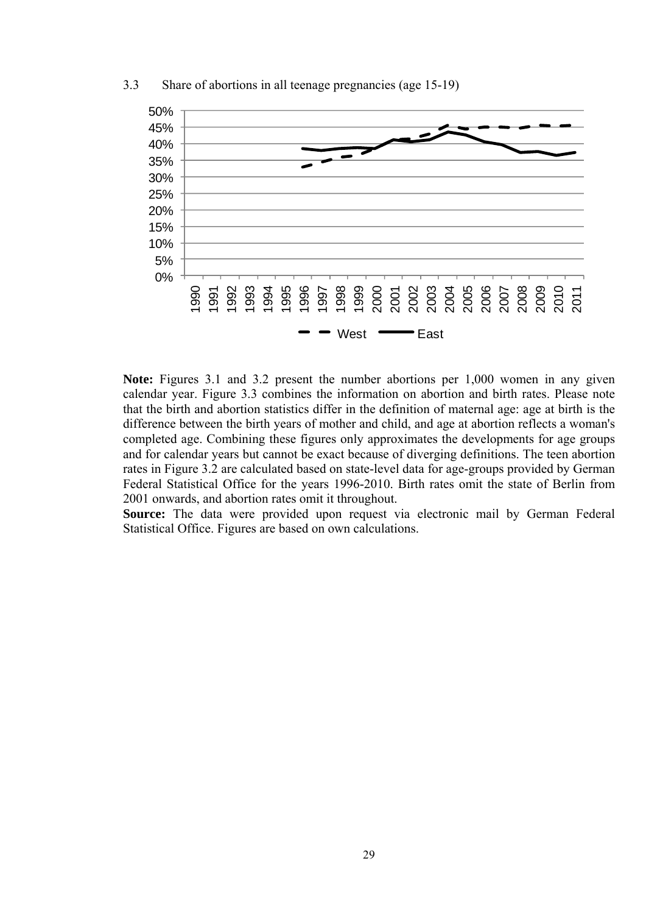

3.3 Share of abortions in all teenage pregnancies (age 15-19)

**Note:** Figures 3.1 and 3.2 present the number abortions per 1,000 women in any given calendar year. Figure 3.3 combines the information on abortion and birth rates. Please note that the birth and abortion statistics differ in the definition of maternal age: age at birth is the difference between the birth years of mother and child, and age at abortion reflects a woman's completed age. Combining these figures only approximates the developments for age groups and for calendar years but cannot be exact because of diverging definitions. The teen abortion rates in Figure 3.2 are calculated based on state-level data for age-groups provided by German Federal Statistical Office for the years 1996-2010. Birth rates omit the state of Berlin from 2001 onwards, and abortion rates omit it throughout.

**Source:** The data were provided upon request via electronic mail by German Federal Statistical Office. Figures are based on own calculations.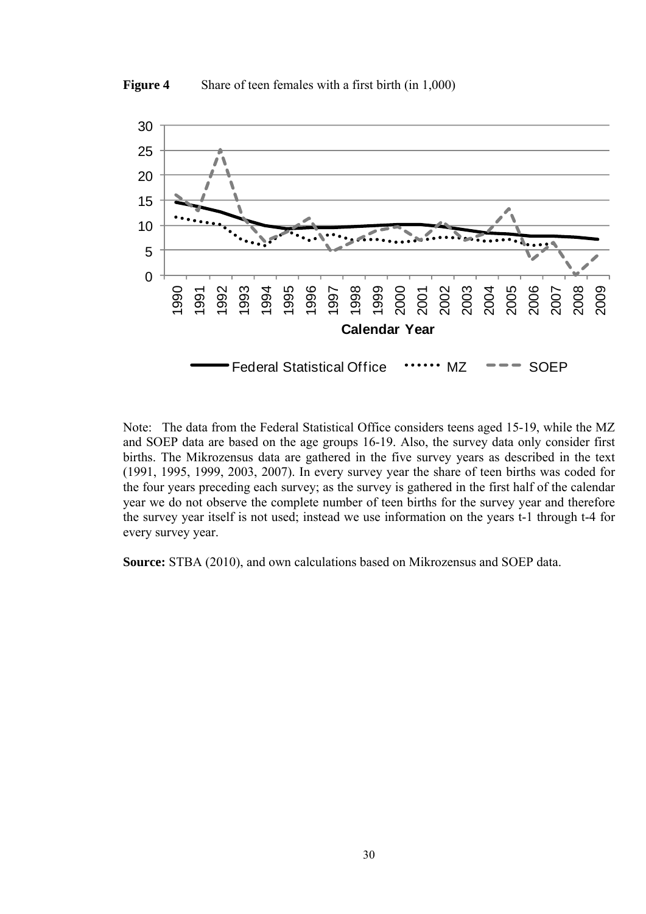



Note: The data from the Federal Statistical Office considers teens aged 15-19, while the MZ and SOEP data are based on the age groups 16-19. Also, the survey data only consider first births. The Mikrozensus data are gathered in the five survey years as described in the text (1991, 1995, 1999, 2003, 2007). In every survey year the share of teen births was coded for the four years preceding each survey; as the survey is gathered in the first half of the calendar year we do not observe the complete number of teen births for the survey year and therefore the survey year itself is not used; instead we use information on the years t-1 through t-4 for every survey year.

**Source:** STBA (2010), and own calculations based on Mikrozensus and SOEP data.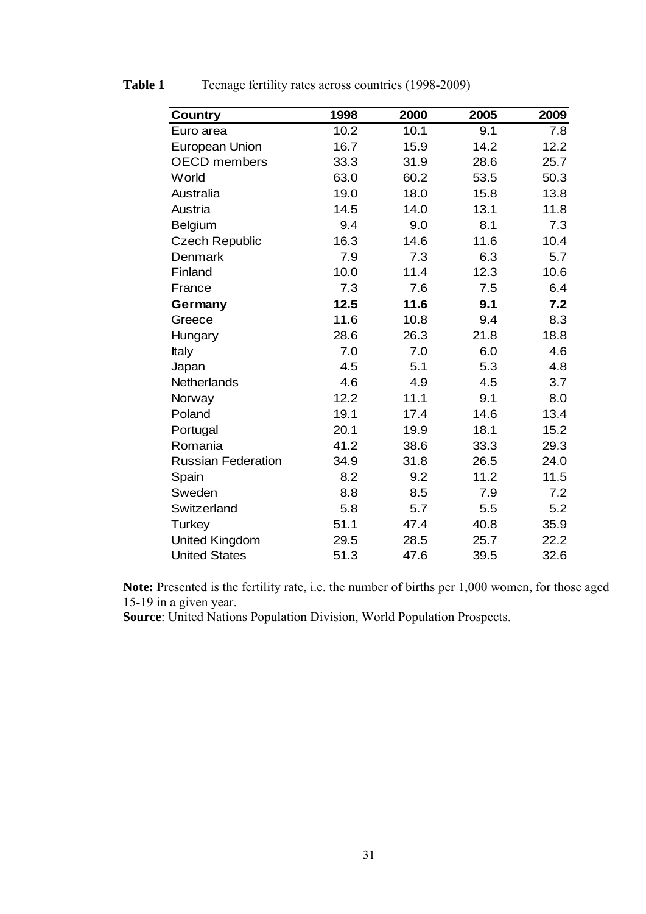| <b>Country</b>            | 1998 | 2000 | 2005 | 2009 |
|---------------------------|------|------|------|------|
| Euro area                 | 10.2 | 10.1 | 9.1  | 7.8  |
| <b>European Union</b>     | 16.7 | 15.9 | 14.2 | 12.2 |
| <b>OECD</b> members       | 33.3 | 31.9 | 28.6 | 25.7 |
| World                     | 63.0 | 60.2 | 53.5 | 50.3 |
| Australia                 | 19.0 | 18.0 | 15.8 | 13.8 |
| Austria                   | 14.5 | 14.0 | 13.1 | 11.8 |
| Belgium                   | 9.4  | 9.0  | 8.1  | 7.3  |
| <b>Czech Republic</b>     | 16.3 | 14.6 | 11.6 | 10.4 |
| <b>Denmark</b>            | 7.9  | 7.3  | 6.3  | 5.7  |
| Finland                   | 10.0 | 11.4 | 12.3 | 10.6 |
| France                    | 7.3  | 7.6  | 7.5  | 6.4  |
| Germany                   | 12.5 | 11.6 | 9.1  | 7.2  |
| Greece                    | 11.6 | 10.8 | 9.4  | 8.3  |
| Hungary                   | 28.6 | 26.3 | 21.8 | 18.8 |
| Italy                     | 7.0  | 7.0  | 6.0  | 4.6  |
| Japan                     | 4.5  | 5.1  | 5.3  | 4.8  |
| Netherlands               | 4.6  | 4.9  | 4.5  | 3.7  |
| Norway                    | 12.2 | 11.1 | 9.1  | 8.0  |
| Poland                    | 19.1 | 17.4 | 14.6 | 13.4 |
| Portugal                  | 20.1 | 19.9 | 18.1 | 15.2 |
| Romania                   | 41.2 | 38.6 | 33.3 | 29.3 |
| <b>Russian Federation</b> | 34.9 | 31.8 | 26.5 | 24.0 |
| Spain                     | 8.2  | 9.2  | 11.2 | 11.5 |
| Sweden                    | 8.8  | 8.5  | 7.9  | 7.2  |
| Switzerland               | 5.8  | 5.7  | 5.5  | 5.2  |
| <b>Turkey</b>             | 51.1 | 47.4 | 40.8 | 35.9 |
| <b>United Kingdom</b>     | 29.5 | 28.5 | 25.7 | 22.2 |
| <b>United States</b>      | 51.3 | 47.6 | 39.5 | 32.6 |

**Table 1** Teenage fertility rates across countries (1998-2009)

**Note:** Presented is the fertility rate, i.e. the number of births per 1,000 women, for those aged 15-19 in a given year.

**Source**: United Nations Population Division, World Population Prospects.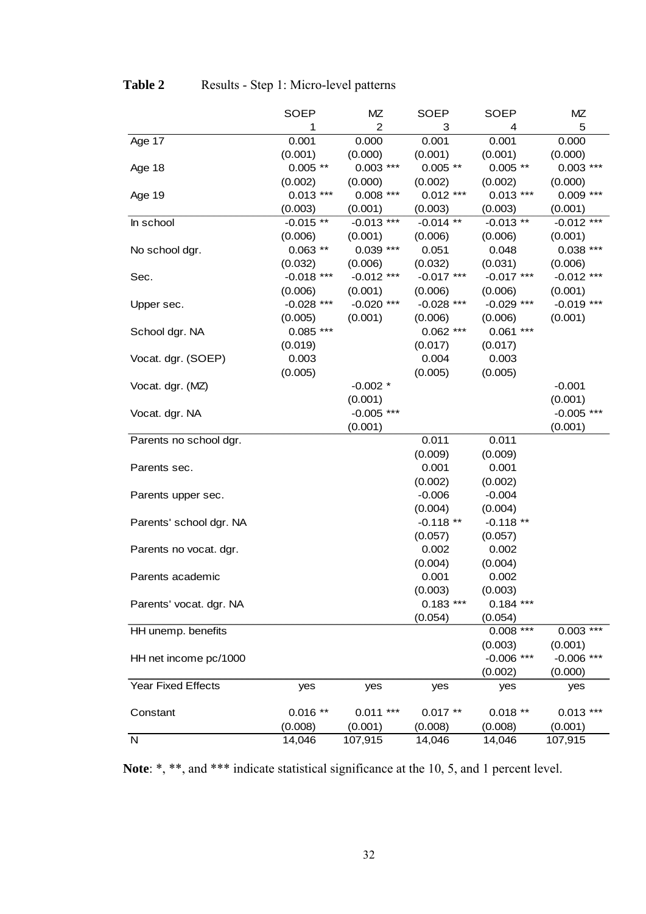|                           | <b>SOEP</b>             | ΜZ                      | SOEP                    | <b>SOEP</b>             | MZ                      |
|---------------------------|-------------------------|-------------------------|-------------------------|-------------------------|-------------------------|
|                           | 1                       | $\overline{2}$          | 3                       | 4                       | 5                       |
| Age 17                    | 0.001                   | 0.000                   | 0.001                   | 0.001                   | 0.000                   |
|                           | (0.001)                 | (0.000)                 | (0.001)                 | (0.001)                 | (0.000)                 |
| Age 18                    | $0.005**$               | $0.003$ ***             | $0.005**$               | $0.005**$               | $0.003$ ***             |
|                           | (0.002)                 | (0.000)                 | (0.002)                 | (0.002)                 | (0.000)                 |
| Age 19                    | $0.013***$              | $0.008$ ***             | $0.012***$              | $0.013$ ***             | $0.009$ ***             |
|                           | (0.003)                 | (0.001)                 | (0.003)                 | (0.003)                 | (0.001)                 |
| In school                 | $-0.015**$              | $-0.013$ ***            | $-0.014$ **             | $-0.013**$              | $-0.012$ ***            |
|                           | (0.006)<br>$0.063**$    | (0.001)                 | (0.006)                 | (0.006)                 | (0.001)                 |
| No school dgr.            |                         | $0.039***$              | 0.051                   | 0.048                   | $0.038$ ***             |
| Sec.                      | (0.032)<br>$-0.018$ *** | (0.006)<br>$-0.012$ *** | (0.032)<br>$-0.017$ *** | (0.031)<br>$-0.017$ *** | (0.006)<br>$-0.012$ *** |
|                           | (0.006)                 | (0.001)                 | (0.006)                 | (0.006)                 | (0.001)                 |
| Upper sec.                | $-0.028$ ***            | $-0.020$ ***            | $-0.028$ ***            | $-0.029$ ***            | $-0.019$ ***            |
|                           | (0.005)                 | (0.001)                 | (0.006)                 | (0.006)                 | (0.001)                 |
| School dgr. NA            | $0.085$ ***             |                         | $0.062$ ***             | $0.061$ ***             |                         |
|                           | (0.019)                 |                         | (0.017)                 | (0.017)                 |                         |
| Vocat. dgr. (SOEP)        | 0.003                   |                         | 0.004                   | 0.003                   |                         |
|                           | (0.005)                 |                         | (0.005)                 | (0.005)                 |                         |
| Vocat. dgr. (MZ)          |                         | $-0.002$ *              |                         |                         | $-0.001$                |
|                           |                         | (0.001)                 |                         |                         | (0.001)                 |
| Vocat. dgr. NA            |                         | $-0.005$ ***            |                         |                         | $-0.005$ ***            |
|                           |                         | (0.001)                 |                         |                         | (0.001)                 |
| Parents no school dgr.    |                         |                         | 0.011                   | 0.011                   |                         |
|                           |                         |                         | (0.009)                 | (0.009)                 |                         |
| Parents sec.              |                         |                         | 0.001                   | 0.001                   |                         |
|                           |                         |                         | (0.002)                 | (0.002)                 |                         |
| Parents upper sec.        |                         |                         | $-0.006$                | $-0.004$                |                         |
| Parents' school dgr. NA   |                         |                         | (0.004)<br>$-0.118**$   | (0.004)<br>$-0.118**$   |                         |
|                           |                         |                         | (0.057)                 | (0.057)                 |                         |
| Parents no vocat. dgr.    |                         |                         | 0.002                   | 0.002                   |                         |
|                           |                         |                         | (0.004)                 | (0.004)                 |                         |
| Parents academic          |                         |                         | 0.001                   | 0.002                   |                         |
|                           |                         |                         | (0.003)                 | (0.003)                 |                         |
| Parents' vocat. dgr. NA   |                         |                         | $0.183***$              | $0.184$ ***             |                         |
|                           |                         |                         | (0.054)                 | (0.054)                 |                         |
| HH unemp. benefits        |                         |                         |                         | $0.008$ ***             | $0.003$ ***             |
|                           |                         |                         |                         | (0.003)                 | (0.001)                 |
| HH net income pc/1000     |                         |                         |                         | $-0.006$ ***            | $-0.006$ ***            |
|                           |                         |                         |                         | (0.002)                 | (0.000)                 |
| <b>Year Fixed Effects</b> | yes                     | yes                     | yes                     | yes                     | yes                     |
| Constant                  | $0.016**$               | $0.011***$              | $0.017**$               | $0.018**$               | $0.013$ ***             |
|                           | (0.008)                 | (0.001)                 | (0.008)                 | (0.008)                 | (0.001)                 |
| N                         | 14,046                  | 107,915                 | 14,046                  | 14,046                  | 107,915                 |

## **Table 2** Results - Step 1: Micro-level patterns

**Note**: \*, \*\*, and \*\*\* indicate statistical significance at the 10, 5, and 1 percent level.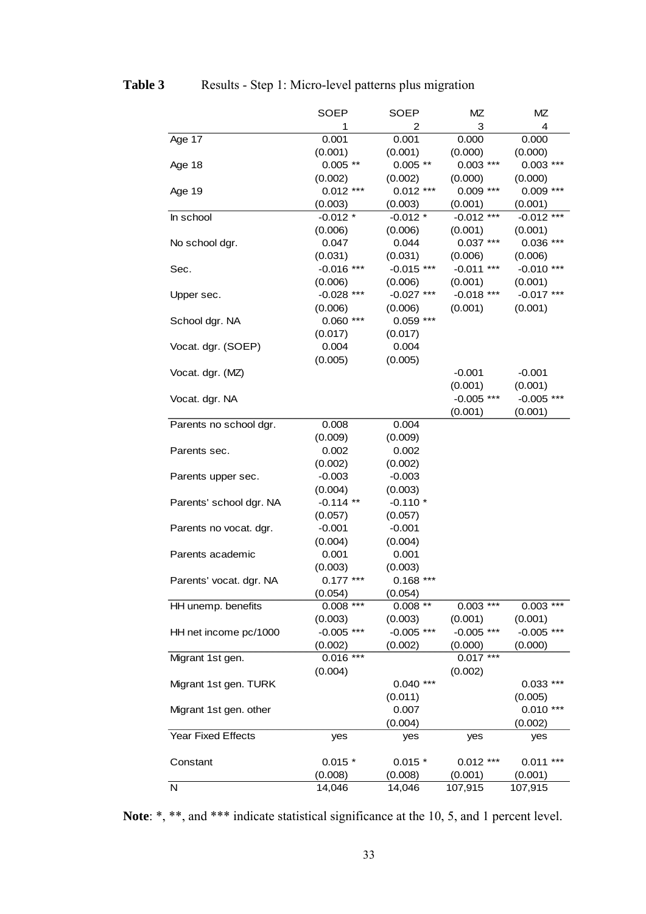|                           | <b>SOEP</b>  | <b>SOEP</b>    | MZ           | MZ           |
|---------------------------|--------------|----------------|--------------|--------------|
|                           | 1            | $\overline{2}$ | 3            | 4            |
| Age 17                    | 0.001        | 0.001          | 0.000        | 0.000        |
|                           | (0.001)      | (0.001)        | (0.000)      | (0.000)      |
| Age 18                    | $0.005$ **   | $0.005**$      | $0.003$ ***  | $0.003$ ***  |
|                           | (0.002)      | (0.002)        | (0.000)      | (0.000)      |
| Age 19                    | $0.012$ ***  | $0.012***$     | $0.009$ ***  | $0.009$ ***  |
|                           | (0.003)      | (0.003)        | (0.001)      | (0.001)      |
| In school                 | $-0.012$ *   | $-0.012*$      | $-0.012$ *** | $-0.012***$  |
|                           | (0.006)      | (0.006)        | (0.001)      | (0.001)      |
| No school dgr.            | 0.047        | 0.044          | $0.037***$   | $0.036$ ***  |
|                           | (0.031)      | (0.031)        | (0.006)      | (0.006)      |
| Sec.                      | $-0.016$ *** | $-0.015$ ***   | $-0.011$ *** | $-0.010$ *** |
|                           | (0.006)      | (0.006)        | (0.001)      | (0.001)      |
| Upper sec.                | $-0.028$ *** | $-0.027$ ***   | $-0.018$ *** | $-0.017$ *** |
|                           | (0.006)      | (0.006)        | (0.001)      | (0.001)      |
| School dgr. NA            | $0.060$ ***  | $0.059***$     |              |              |
|                           | (0.017)      | (0.017)        |              |              |
| Vocat. dgr. (SOEP)        | 0.004        | 0.004          |              |              |
|                           | (0.005)      | (0.005)        |              |              |
| Vocat. dgr. (MZ)          |              |                | $-0.001$     | $-0.001$     |
|                           |              |                | (0.001)      | (0.001)      |
| Vocat. dgr. NA            |              |                | $-0.005$ *** | $-0.005$ *** |
|                           |              |                | (0.001)      | (0.001)      |
| Parents no school dgr.    | 0.008        | 0.004          |              |              |
|                           | (0.009)      | (0.009)        |              |              |
| Parents sec.              | 0.002        | 0.002          |              |              |
|                           | (0.002)      | (0.002)        |              |              |
| Parents upper sec.        | $-0.003$     | $-0.003$       |              |              |
|                           | (0.004)      | (0.003)        |              |              |
| Parents' school dgr. NA   | $-0.114$ **  | $-0.110*$      |              |              |
|                           | (0.057)      | (0.057)        |              |              |
| Parents no vocat. dgr.    | $-0.001$     | $-0.001$       |              |              |
|                           | (0.004)      | (0.004)        |              |              |
| Parents academic          | 0.001        | 0.001          |              |              |
|                           | (0.003)      | (0.003)        |              |              |
| Parents' vocat. dgr. NA   | $0.177***$   | $0.168$ ***    |              |              |
|                           | (0.054)      | (0.054)        |              |              |
| HH unemp. benefits        | $0.008$ ***  | $0.008$ **     | $0.003$ ***  | $0.003$ ***  |
|                           | (0.003)      | (0.003)        | (0.001)      | (0.001)      |
| HH net income pc/1000     | $-0.005$ *** | $-0.005$ ***   | $-0.005$ *** | $-0.005$ *** |
|                           | (0.002)      | (0.002)        | (0.000)      | (0.000)      |
| Migrant 1st gen.          | $0.016$ ***  |                | $0.017***$   |              |
|                           | (0.004)      |                | (0.002)      |              |
| Migrant 1st gen. TURK     |              | $0.040$ ***    |              | $0.033$ ***  |
|                           |              | (0.011)        |              | (0.005)      |
| Migrant 1st gen. other    |              | 0.007          |              | $0.010***$   |
|                           |              | (0.004)        |              | (0.002)      |
| <b>Year Fixed Effects</b> | yes          | yes            | yes          | yes          |
|                           |              |                |              |              |
| Constant                  | $0.015$ *    | $0.015*$       | $0.012***$   | $0.011***$   |
|                           | (0.008)      | (0.008)        | (0.001)      | (0.001)      |
| N                         | 14,046       | 14,046         | 107,915      | 107,915      |

## Table 3 Results - Step 1: Micro-level patterns plus migration

**Note**: \*, \*\*, and \*\*\* indicate statistical significance at the 10, 5, and 1 percent level.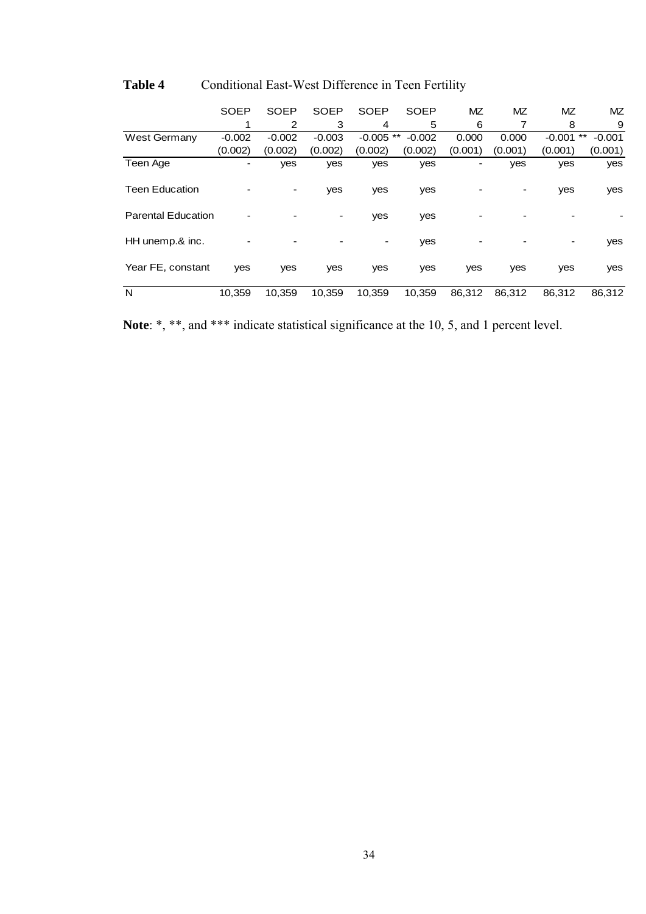|                           | <b>SOEP</b> | <b>SOEP</b> | <b>SOEP</b> | <b>SOEP</b> | <b>SOEP</b> | MΖ      | MZ      | <b>MZ</b>         | MZ       |
|---------------------------|-------------|-------------|-------------|-------------|-------------|---------|---------|-------------------|----------|
|                           |             | 2           | 3           | 4           | 5           | 6       |         | 8                 | 9        |
| West Germany              | $-0.002$    | $-0.002$    | $-0.003$    | $-0.005$ ** | $-0.002$    | 0.000   | 0.000   | $***$<br>$-0.001$ | $-0.001$ |
|                           | (0.002)     | (0.002)     | (0.002)     | (0.002)     | (0.002)     | (0.001) | (0.001) | (0.001)           | (0.001)  |
| Teen Age                  |             | yes         | yes         | yes         | yes         |         | yes     | yes               | yes      |
| <b>Teen Education</b>     |             |             | yes         | yes         | yes         |         |         | yes               | yes      |
| <b>Parental Education</b> |             |             | ۰           | yes         | yes         |         |         |                   |          |
| HH unemp.& inc.           |             |             |             |             | yes         |         |         |                   | yes      |
| Year FE, constant         | yes         | yes         | yes         | yes         | yes         | yes     | yes     | yes               | yes      |
| N                         | 10,359      | 10,359      | 10.359      | 10,359      | 10.359      | 86,312  | 86,312  | 86,312            | 86,312   |

## Table 4 Conditional East-West Difference in Teen Fertility

**Note**: \*, \*\*, and \*\*\* indicate statistical significance at the 10, 5, and 1 percent level.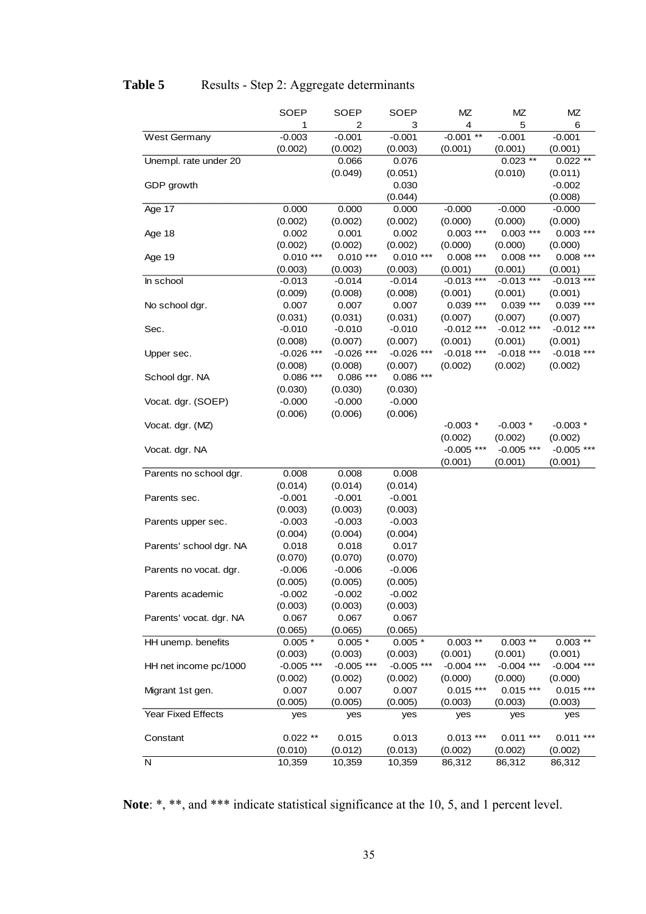## **Table 5** Results - Step 2: Aggregate determinants

|                         | SOEP         | SOEP         | SOEP         | MZ           | ΜZ           | MZ           |
|-------------------------|--------------|--------------|--------------|--------------|--------------|--------------|
|                         | 1            | 2            | 3            | 4            | 5            | 6            |
| <b>West Germany</b>     | $-0.003$     | $-0.001$     | $-0.001$     | $-0.001$ **  | $-0.001$     | $-0.001$     |
|                         | (0.002)      | (0.002)      | (0.003)      | (0.001)      | (0.001)      | (0.001)      |
| Unempl. rate under 20   |              | 0.066        | 0.076        |              | $0.023$ **   | $0.022$ **   |
|                         |              | (0.049)      | (0.051)      |              | (0.010)      | (0.011)      |
| GDP growth              |              |              | 0.030        |              |              | $-0.002$     |
|                         |              |              | (0.044)      |              |              | (0.008)      |
| Age 17                  | 0.000        | 0.000        | 0.000        | $-0.000$     | $-0.000$     | $-0.000$     |
|                         | (0.002)      | (0.002)      | (0.002)      | (0.000)      | (0.000)      | (0.000)      |
| Age 18                  | 0.002        | 0.001        | 0.002        | $0.003$ ***  | $0.003$ ***  | $0.003$ ***  |
|                         | (0.002)      | (0.002)      | (0.002)      | (0.000)      | (0.000)      | (0.000)      |
| Age 19                  | $0.010$ ***  | $0.010***$   | $0.010***$   | $0.008$ ***  | $0.008$ ***  | $0.008$ ***  |
|                         | (0.003)      | (0.003)      | (0.003)      | (0.001)      | (0.001)      | (0.001)      |
| In school               | $-0.013$     | $-0.014$     | $-0.014$     | $-0.013$ *** | $-0.013$ *** | $-0.013$ *** |
|                         | (0.009)      | (0.008)      | (0.008)      | (0.001)      | (0.001)      | (0.001)      |
| No school dgr.          | 0.007        | 0.007        | 0.007        | $0.039$ ***  | $0.039***$   | $0.039$ ***  |
|                         | (0.031)      | (0.031)      | (0.031)      | (0.007)      | (0.007)      | (0.007)      |
| Sec.                    | $-0.010$     | $-0.010$     | $-0.010$     | $-0.012$ *** | $-0.012$ *** | $-0.012$ *** |
|                         | (0.008)      | (0.007)      | (0.007)      | (0.001)      | (0.001)      | (0.001)      |
| Upper sec.              | $-0.026$ *** | $-0.026$ *** | $-0.026$ *** | $-0.018$ *** | $-0.018$ *** | $-0.018$ *** |
|                         | (0.008)      | (0.008)      | (0.007)      | (0.002)      | (0.002)      | (0.002)      |
| School dgr. NA          | $0.086$ ***  | $0.086***$   | $0.086$ ***  |              |              |              |
|                         | (0.030)      | (0.030)      | (0.030)      |              |              |              |
| Vocat. dgr. (SOEP)      | $-0.000$     | $-0.000$     | $-0.000$     |              |              |              |
|                         | (0.006)      | (0.006)      | (0.006)      |              |              |              |
| Vocat. dgr. (MZ)        |              |              |              | $-0.003*$    | $-0.003$ *   | $-0.003*$    |
|                         |              |              |              | (0.002)      | (0.002)      | (0.002)      |
| Vocat. dgr. NA          |              |              |              | $-0.005$ *** | $-0.005$ *** | $-0.005$ *** |
|                         |              |              |              | (0.001)      | (0.001)      | (0.001)      |
| Parents no school dgr.  | 0.008        | 0.008        | 0.008        |              |              |              |
|                         | (0.014)      | (0.014)      | (0.014)      |              |              |              |
| Parents sec.            | $-0.001$     | $-0.001$     | $-0.001$     |              |              |              |
|                         | (0.003)      | (0.003)      | (0.003)      |              |              |              |
| Parents upper sec.      | $-0.003$     | $-0.003$     | $-0.003$     |              |              |              |
|                         | (0.004)      | (0.004)      | (0.004)      |              |              |              |
| Parents' school dgr. NA | 0.018        | 0.018        | 0.017        |              |              |              |
|                         | (0.070)      | (0.070)      | (0.070)      |              |              |              |
| Parents no vocat. dgr.  | $-0.006$     | $-0.006$     | $-0.006$     |              |              |              |
|                         | (0.005)      | (0.005)      | (0.005)      |              |              |              |
| Parents academic        | $-0.002$     | -0.002       | -0.002       |              |              |              |
|                         | (0.003)      | (0.003)      | (0.003)      |              |              |              |
| Parents' vocat. dgr. NA | 0.067        | 0.067        | 0.067        |              |              |              |
|                         | (0.065)      | (0.065)      | (0.065)      |              |              |              |
| HH unemp. benefits      | $0.005*$     | $0.005*$     | $0.005*$     | $0.003$ **   | $0.003$ **   | $0.003$ **   |
|                         | (0.003)      | (0.003)      | (0.003)      | (0.001)      | (0.001)      | (0.001)      |
| HH net income pc/1000   | $-0.005$ *** | $-0.005$ *** | $-0.005$ *** | $-0.004$ *** | $-0.004$ *** | $-0.004$ *** |
|                         | (0.002)      | (0.002)      | (0.002)      | (0.000)      | (0.000)      | (0.000)      |
| Migrant 1st gen.        | 0.007        | 0.007        | 0.007        | $0.015$ ***  | $0.015***$   | $0.015$ ***  |
|                         | (0.005)      | (0.005)      | (0.005)      | (0.003)      | (0.003)      | (0.003)      |
| Year Fixed Effects      | yes          | yes          | yes          | yes          | yes          | yes          |
|                         |              |              |              |              |              |              |
| Constant                | $0.022$ **   | 0.015        | 0.013        | $0.013$ ***  | $0.011***$   | $0.011***$   |
|                         | (0.010)      | (0.012)      | (0.013)      | (0.002)      | (0.002)      | (0.002)      |
| N                       | 10,359       | 10,359       | 10,359       | 86,312       | 86,312       | 86,312       |

**Note**: \*, \*\*, and \*\*\* indicate statistical significance at the 10, 5, and 1 percent level.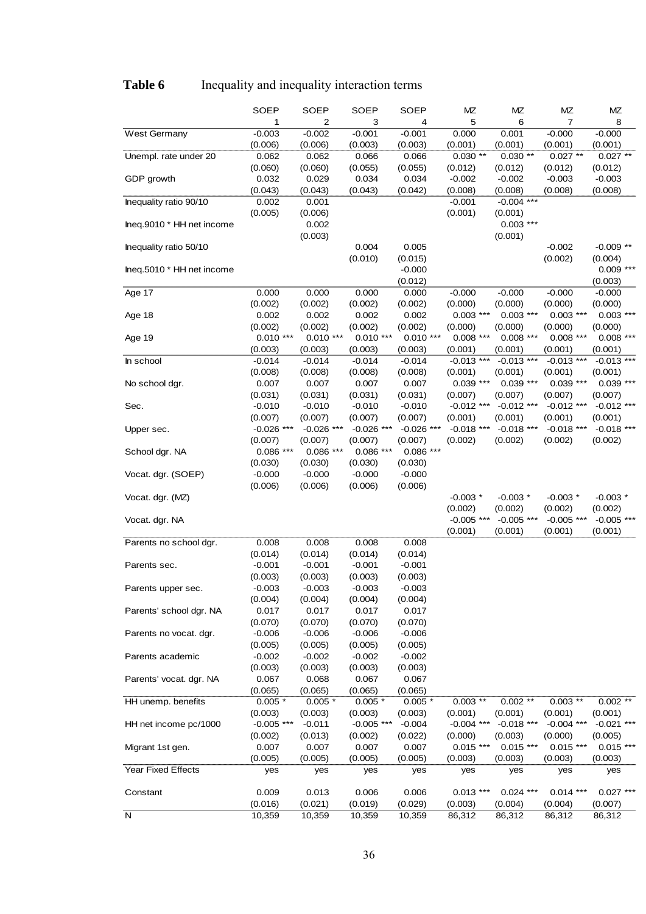## **Table 6** Inequality and inequality interaction terms

|                           | <b>SOEP</b>           | <b>SOEP</b>   | <b>SOEP</b>   | SOEP             | MZ<br>5                 | MZ                    | ΜZ<br>7                 | MZ                      |
|---------------------------|-----------------------|---------------|---------------|------------------|-------------------------|-----------------------|-------------------------|-------------------------|
| West Germany              | 1<br>$-0.003$         | 2<br>$-0.002$ | 3<br>$-0.001$ | 4<br>$-0.001$    | 0.000                   | 6<br>0.001            | $-0.000$                | 8<br>$-0.000$           |
|                           | (0.006)               | (0.006)       | (0.003)       | (0.003)          | (0.001)                 | (0.001)               | (0.001)                 | (0.001)                 |
| Unempl. rate under 20     | 0.062                 | 0.062         | 0.066         | 0.066            | $0.030**$               | $0.030**$             | $0.027**$               | $0.027***$              |
|                           | (0.060)               | (0.060)       | (0.055)       | (0.055)          | (0.012)                 | (0.012)               | (0.012)                 | (0.012)                 |
| GDP growth                | 0.032                 | 0.029         | 0.034         | 0.034            | $-0.002$                | $-0.002$              | $-0.003$                | $-0.003$                |
|                           | (0.043)               | (0.043)       | (0.043)       | (0.042)          | (0.008)                 | (0.008)               | (0.008)                 | (0.008)                 |
| Inequality ratio 90/10    | 0.002                 | 0.001         |               |                  | $-0.001$                | $-0.004$ ***          |                         |                         |
|                           | (0.005)               | (0.006)       |               |                  | (0.001)                 | (0.001)               |                         |                         |
| lneg.9010 * HH net income |                       | 0.002         |               |                  |                         | $0.003$ ***           |                         |                         |
|                           |                       | (0.003)       |               |                  |                         | (0.001)               |                         |                         |
| Inequality ratio 50/10    |                       |               | 0.004         | 0.005            |                         |                       | $-0.002$                | $-0.009**$              |
|                           |                       |               | (0.010)       | (0.015)          |                         |                       | (0.002)                 | (0.004)                 |
| lneg.5010 * HH net income |                       |               |               | $-0.000$         |                         |                       |                         | $0.009$ ***             |
|                           |                       |               |               | (0.012)          |                         |                       |                         | (0.003)                 |
| Age 17                    | 0.000                 | 0.000         | 0.000         | 0.000            | $-0.000$                | $-0.000$              | $-0.000$                | $-0.000$                |
|                           | (0.002)               | (0.002)       | (0.002)       | (0.002)          | (0.000)                 | (0.000)               | (0.000)<br>$0.003$ ***  | (0.000)                 |
| Age 18                    | 0.002                 | 0.002         | 0.002         | 0.002<br>(0.002) | $0.003$ ***             | $0.003$ ***           |                         | $0.003$ ***             |
|                           | (0.002)<br>$0.010***$ | (0.002)       | (0.002)       |                  | (0.000)                 | (0.000)               | (0.000)                 | (0.000)                 |
| Age 19                    |                       | $0.010***$    | $0.010***$    | $0.010***$       | $0.008$ ***             | $0.008$ ***           | $0.008$ ***             | $0.008$ ***             |
|                           | (0.003)               | (0.003)       | (0.003)       | (0.003)          | (0.001)<br>$-0.013$ *** | (0.001)               | (0.001)<br>$-0.013$ *** | (0.001)<br>$-0.013***$  |
| In school                 | $-0.014$              | $-0.014$      | $-0.014$      | $-0.014$         |                         | $-0.013$ ***          |                         |                         |
|                           | (0.008)               | (0.008)       | (0.008)       | (0.008)          | (0.001)                 | (0.001)               | (0.001)                 | (0.001)                 |
| No school dgr.            | 0.007                 | 0.007         | 0.007         | 0.007            | $0.039***$              | $0.039***$            | $0.039***$              | $0.039$ ***             |
|                           | (0.031)               | (0.031)       | (0.031)       | (0.031)          | (0.007)                 | (0.007)               | (0.007)                 | (0.007)                 |
| Sec.                      | $-0.010$              | $-0.010$      | $-0.010$      | $-0.010$         | $-0.012$ ***            | $-0.012$ ***          | $-0.012$ ***            | $-0.012$ ***            |
|                           | (0.007)               | (0.007)       | (0.007)       | (0.007)          | (0.001)                 | (0.001)               | (0.001)                 | (0.001)                 |
| Upper sec.                | $-0.026$ ***          | $-0.026$ ***  | $-0.026$ ***  | $-0.026$ ***     | $-0.018$ ***            | $-0.018$ ***          | $-0.018$ ***            | $-0.018$ ***            |
|                           | (0.007)               | (0.007)       | (0.007)       | (0.007)          | (0.002)                 | (0.002)               | (0.002)                 | (0.002)                 |
| School dgr. NA            | $0.086$ ***           | $0.086***$    | $0.086$ ***   | 0.086 ***        |                         |                       |                         |                         |
|                           | (0.030)               | (0.030)       | (0.030)       | (0.030)          |                         |                       |                         |                         |
| Vocat. dgr. (SOEP)        | $-0.000$              | $-0.000$      | $-0.000$      | $-0.000$         |                         |                       |                         |                         |
|                           | (0.006)               | (0.006)       | (0.006)       | (0.006)          |                         |                       |                         |                         |
| Vocat. dgr. (MZ)          |                       |               |               |                  | $-0.003$ *<br>(0.002)   | $-0.003$ *<br>(0.002) | $-0.003*$<br>(0.002)    | $-0.003$ *              |
|                           |                       |               |               |                  | $-0.005$ ***            | $-0.005$ ***          | $-0.005$ ***            | (0.002)<br>$-0.005$ *** |
| Vocat. dgr. NA            |                       |               |               |                  | (0.001)                 | (0.001)               | (0.001)                 | (0.001)                 |
| Parents no school dgr.    | 0.008                 | 0.008         | 0.008         | 0.008            |                         |                       |                         |                         |
|                           | (0.014)               | (0.014)       | (0.014)       | (0.014)          |                         |                       |                         |                         |
| Parents sec.              | $-0.001$              | $-0.001$      | $-0.001$      | $-0.001$         |                         |                       |                         |                         |
|                           | (0.003)               | (0.003)       | (0.003)       | (0.003)          |                         |                       |                         |                         |
| Parents upper sec.        | $-0.003$              | $-0.003$      | $-0.003$      | $-0.003$         |                         |                       |                         |                         |
|                           | (0.004)               | (0.004)       | (0.004)       | (0.004)          |                         |                       |                         |                         |
| Parents' school dgr. NA   | 0.017                 | 0.017         | 0.017         | 0.017            |                         |                       |                         |                         |
|                           | (0.070)               | (0.070)       | (0.070)       | (0.070)          |                         |                       |                         |                         |
| Parents no vocat. dgr.    | $-0.006$              | $-0.006$      | $-0.006$      | $-0.006$         |                         |                       |                         |                         |
|                           | (0.005)               | (0.005)       | (0.005)       | (0.005)          |                         |                       |                         |                         |
| Parents academic          | $-0.002$              | $-0.002$      | $-0.002$      | $-0.002$         |                         |                       |                         |                         |
|                           | (0.003)               | (0.003)       | (0.003)       | (0.003)          |                         |                       |                         |                         |
| Parents' vocat. dgr. NA   | 0.067                 | 0.068         | 0.067         | 0.067            |                         |                       |                         |                         |
|                           | (0.065)               | (0.065)       | (0.065)       | (0.065)          |                         |                       |                         |                         |
| HH unemp. benefits        | $0.005*$              | $0.005*$      | $0.005*$      | $0.005*$         | $0.003$ **              | $0.002$ **            | $0.003$ **              | $0.002**$               |
|                           | (0.003)               | (0.003)       | (0.003)       | (0.003)          | (0.001)                 | (0.001)               | (0.001)                 | (0.001)                 |
| HH net income pc/1000     | $-0.005$ ***          | $-0.011$      | $-0.005$ ***  | $-0.004$         | $-0.004$ ***            | $-0.018$ ***          | $-0.004$ ***            | $-0.021$ ***            |
|                           | (0.002)               | (0.013)       | (0.002)       | (0.022)          | (0.000)                 | (0.003)               | (0.000)                 | (0.005)                 |
| Migrant 1st gen.          | 0.007                 | 0.007         | 0.007         | 0.007            | $0.015***$              | $0.015***$            | $0.015***$              | $0.015***$              |
|                           | (0.005)               | (0.005)       | (0.005)       | (0.005)          | (0.003)                 | (0.003)               | (0.003)                 | (0.003)                 |
| Year Fixed Effects        | yes                   | yes           | yes           | yes              | yes                     | yes                   | yes                     | yes                     |
|                           |                       |               |               |                  |                         |                       |                         |                         |
| Constant                  | 0.009                 | 0.013         | 0.006         | 0.006            | $0.013$ ***             | $0.024$ ***           | $0.014***$              | $0.027$ ***             |
|                           | (0.016)               | (0.021)       | (0.019)       | (0.029)          | (0.003)                 | (0.004)               | (0.004)                 | (0.007)                 |
| N                         | 10,359                | 10,359        | 10,359        | 10,359           | 86,312                  | 86,312                | 86,312                  | 86,312                  |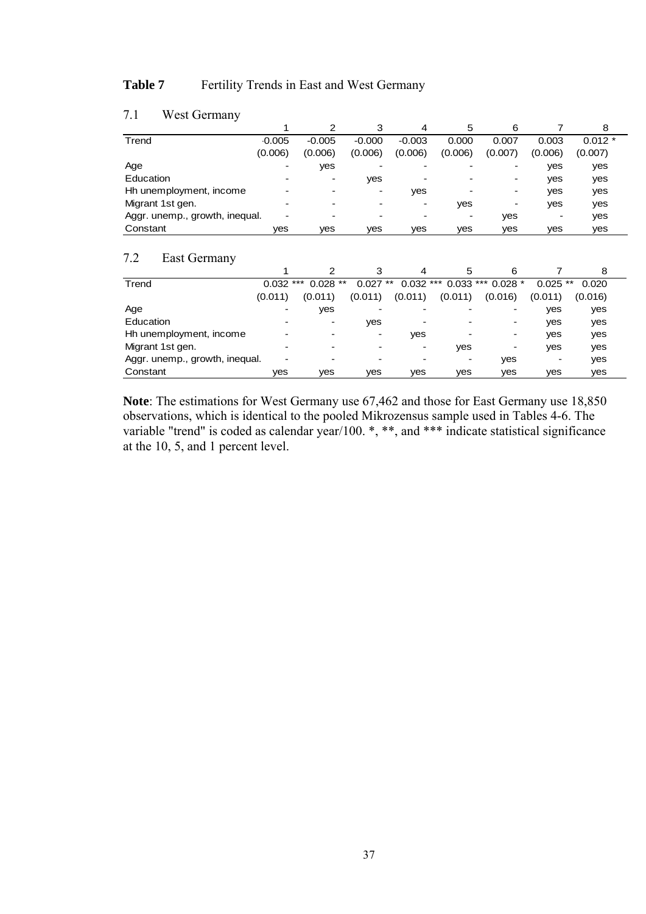### Table 7 Fertility Trends in East and West Germany

|                                |          | 2        | 3        | 4        | 5       | 6       |         | 8        |
|--------------------------------|----------|----------|----------|----------|---------|---------|---------|----------|
| Trend                          | $-0.005$ | $-0.005$ | $-0.000$ | $-0.003$ | 0.000   | 0.007   | 0.003   | $0.012*$ |
|                                | (0.006)  | (0.006)  | (0.006)  | (0.006)  | (0.006) | (0.007) | (0.006) | (0.007)  |
| Age                            | ۰        | yes      |          |          |         |         | ves     | yes      |
| Education                      |          | ۰        | yes      |          |         | ۰       | yes     | yes      |
| Hh unemployment, income        | ٠        |          | ٠        | ves      |         | -       | yes     | yes      |
| Migrant 1st gen.               |          | ٠        |          | ۰        | ves     | -       | ves     | yes      |
| Aggr. unemp., growth, inequal. | ٠        |          |          |          |         | yes     |         | yes      |
| Constant                       | ves      | yes      | ves      | ves      | ves     | yes     | yes     | yes      |

#### 7.1 West Germany

#### 7.2 East Germany

|                                |             |            |            | 4                        | 5                        | 6                                 |             |         |
|--------------------------------|-------------|------------|------------|--------------------------|--------------------------|-----------------------------------|-------------|---------|
| Trend                          | $0.032$ *** | $0.028$ ** | $0.027$ ** |                          |                          | $0.032$ *** $0.033$ *** $0.028$ * | 0.025<br>** | 0.020   |
|                                | (0.011)     | (0.011)    | (0.011)    | (0.011)                  | (0.011)                  | (0.016)                           | (0.011)     | (0.016) |
| Age                            |             | yes        |            |                          |                          |                                   | yes         | yes     |
| Education                      |             |            | yes        |                          |                          | ۰                                 | yes         | yes     |
| Hh unemployment, income        | -           |            |            | ves                      | $\overline{\phantom{0}}$ |                                   | ves         | yes     |
| Migrant 1st gen.               |             |            |            | $\overline{\phantom{a}}$ | yes                      | ٠                                 | ves         | yes     |
| Aggr. unemp., growth, inequal. | ۰           |            |            |                          |                          | yes                               |             | yes     |
| Constant                       | yes         | yes        | ves        | ves                      | ves                      | yes                               | ves         | yes     |

**Note**: The estimations for West Germany use 67,462 and those for East Germany use 18,850 observations, which is identical to the pooled Mikrozensus sample used in Tables 4-6. The variable "trend" is coded as calendar year/100. \*, \*\*, and \*\*\* indicate statistical significance at the 10, 5, and 1 percent level.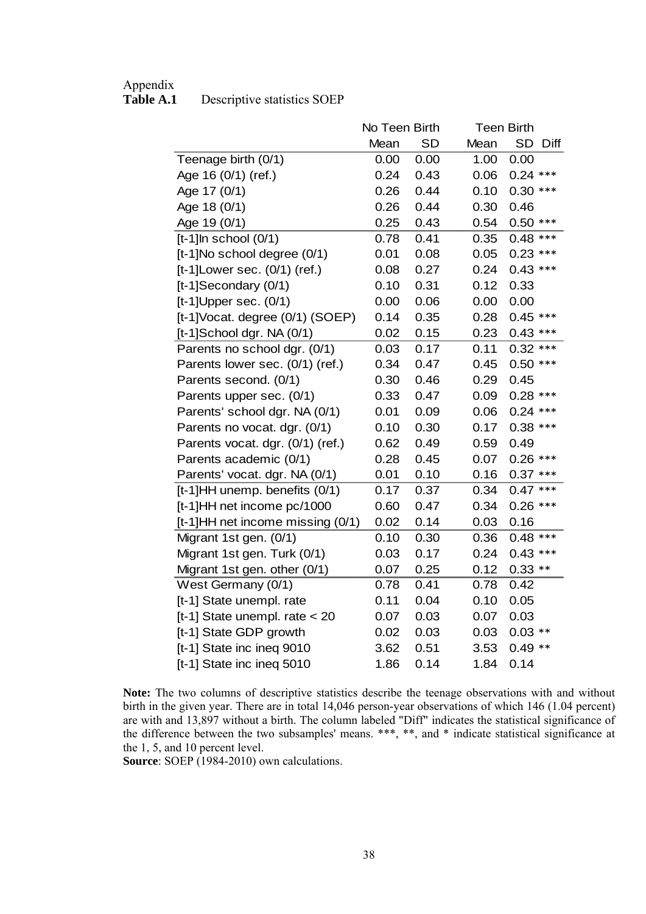#### Appendix

| <b>Table A.1</b> | Descriptive statistics SOEP |  |  |
|------------------|-----------------------------|--|--|
|------------------|-----------------------------|--|--|

|                                       | No Teen Birth<br><b>Teen Birth</b> |           |      |            |      |
|---------------------------------------|------------------------------------|-----------|------|------------|------|
|                                       | Mean                               | <b>SD</b> | Mean | <b>SD</b>  | Diff |
| Teenage birth (0/1)                   | 0.00                               | 0.00      | 1.00 | 0.00       |      |
| Age 16 (0/1) (ref.)                   | 0.24                               | 0.43      | 0.06 | $0.24$ *** |      |
| Age 17 (0/1)                          | 0.26                               | 0.44      | 0.10 | $0.30***$  |      |
| Age 18 (0/1)                          | 0.26                               | 0.44      | 0.30 | 0.46       |      |
| Age 19 (0/1)                          | 0.25                               | 0.43      | 0.54 | $0.50$ *** |      |
| $[t-1]$ In school $(0/1)$             | 0.78                               | 0.41      | 0.35 | $0.48$ *** |      |
| [t-1]No school degree (0/1)           | 0.01                               | 0.08      | 0.05 | $0.23$ *** |      |
| $[t-1]$ Lower sec. $(0/1)$ (ref.)     | 0.08                               | 0.27      | 0.24 | $0.43$ *** |      |
| $[t-1]$ Secondary $(0/1)$             | 0.10                               | 0.31      | 0.12 | 0.33       |      |
| $[t-1]$ Upper sec. $(0/1)$            | 0.00                               | 0.06      | 0.00 | 0.00       |      |
| $[t-1]$ Vocat. degree $(0/1)$ (SOEP)  | 0.14                               | 0.35      | 0.28 | $0.45$ *** |      |
| $[t-1]$ School dgr. NA $(0/1)$        | 0.02                               | 0.15      | 0.23 | $0.43$ *** |      |
| Parents no school dgr. (0/1)          | 0.03                               | 0.17      | 0.11 | $0.32$ *** |      |
| Parents lower sec. (0/1) (ref.)       | 0.34                               | 0.47      | 0.45 | $0.50$ *** |      |
| Parents second. (0/1)                 | 0.30                               | 0.46      | 0.29 | 0.45       |      |
| Parents upper sec. (0/1)              | 0.33                               | 0.47      | 0.09 | $0.28$ *** |      |
| Parents' school dgr. NA (0/1)         | 0.01                               | 0.09      | 0.06 | $0.24$ *** |      |
| Parents no vocat. dgr. (0/1)          | 0.10                               | 0.30      | 0.17 | $0.38$ *** |      |
| Parents vocat. dgr. (0/1) (ref.)      | 0.62                               | 0.49      | 0.59 | 0.49       |      |
| Parents academic (0/1)                | 0.28                               | 0.45      | 0.07 | $0.26$ *** |      |
| Parents' vocat. dgr. NA (0/1)         | 0.01                               | 0.10      | 0.16 | $0.37***$  |      |
| [t-1]HH unemp. benefits (0/1)         | 0.17                               | 0.37      | 0.34 | $0.47***$  |      |
| [t-1]HH net income pc/1000            | 0.60                               | 0.47      | 0.34 | $0.26$ *** |      |
| $[t-1]$ HH net income missing $(0/1)$ | 0.02                               | 0.14      | 0.03 | 0.16       |      |
| Migrant 1st gen. (0/1)                | 0.10                               | 0.30      | 0.36 | $0.48$ *** |      |
| Migrant 1st gen. Turk (0/1)           | 0.03                               | 0.17      | 0.24 | $0.43$ *** |      |
| Migrant 1st gen. other (0/1)          | 0.07                               | 0.25      | 0.12 | $0.33**$   |      |
| West Germany (0/1)                    | 0.78                               | 0.41      | 0.78 | 0.42       |      |
| [t-1] State unempl. rate              | 0.11                               | 0.04      | 0.10 | 0.05       |      |
| [t-1] State unempl. rate $<$ 20       | 0.07                               | 0.03      | 0.07 | 0.03       |      |
| [t-1] State GDP growth                | 0.02                               | 0.03      | 0.03 | $0.03$ **  |      |
| [t-1] State inc ineq 9010             | 3.62                               | 0.51      | 3.53 | $0.49**$   |      |
| [t-1] State inc ineq 5010             | 1.86                               | 0.14      | 1.84 | 0.14       |      |

**Note:** The two columns of descriptive statistics describe the teenage observations with and without birth in the given year. There are in total 14,046 person-year observations of which 146 (1.04 percent) are with and 13,897 without a birth. The column labeled "Diff" indicates the statistical significance of the difference between the two subsamples' means. \*\*\*, \*\*, and \* indicate statistical significance at the 1, 5, and 10 percent level.

**Source**: SOEP (1984-2010) own calculations.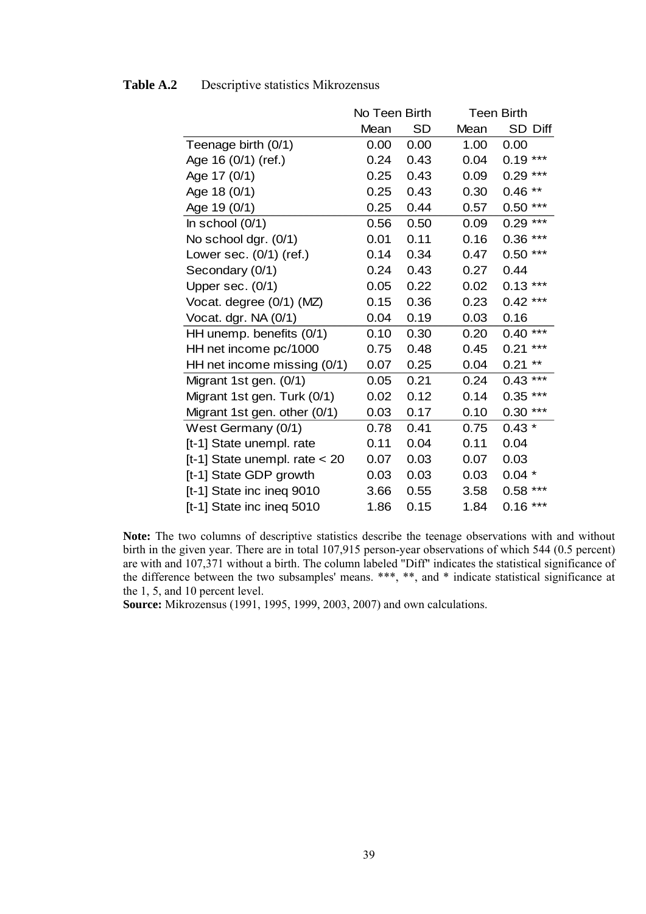|                                 | No Teen Birth |           | <b>Teen Birth</b> |               |  |
|---------------------------------|---------------|-----------|-------------------|---------------|--|
|                                 | Mean          | <b>SD</b> | Mean              | SD Diff       |  |
| Teenage birth (0/1)             | 0.00          | 0.00      | 1.00              | 0.00          |  |
| Age 16 (0/1) (ref.)             | 0.24          | 0.43      | 0.04              | $0.19***$     |  |
| Age 17 (0/1)                    | 0.25          | 0.43      | 0.09              | $0.29***$     |  |
| Age 18 (0/1)                    | 0.25          | 0.43      | 0.30              | $***$<br>0.46 |  |
| Age 19 (0/1)                    | 0.25          | 0.44      | 0.57              | ***<br>0.50   |  |
| In school $(0/1)$               | 0.56          | 0.50      | 0.09              | $***$<br>0.29 |  |
| No school dgr. (0/1)            | 0.01          | 0.11      | 0.16              | ***<br>0.36   |  |
| Lower sec. $(0/1)$ (ref.)       | 0.14          | 0.34      | 0.47              | ***<br>0.50   |  |
| Secondary (0/1)                 | 0.24          | 0.43      | 0.27              | 0.44          |  |
| Upper sec. $(0/1)$              | 0.05          | 0.22      | 0.02              | $0.13***$     |  |
| Vocat. degree (0/1) (MZ)        | 0.15          | 0.36      | 0.23              | $0.42***$     |  |
| Vocat. dgr. NA (0/1)            | 0.04          | 0.19      | 0.03              | 0.16          |  |
| HH unemp. benefits (0/1)        | 0.10          | 0.30      | 0.20              | ***<br>0.40   |  |
| HH net income pc/1000           | 0.75          | 0.48      | 0.45              | ***<br>0.21   |  |
| HH net income missing $(0/1)$   | 0.07          | 0.25      | 0.04              | $***$<br>0.21 |  |
| Migrant 1st gen. (0/1)          | 0.05          | 0.21      | 0.24              | ***<br>0.43   |  |
| Migrant 1st gen. Turk (0/1)     | 0.02          | 0.12      | 0.14              | $0.35***$     |  |
| Migrant 1st gen. other (0/1)    | 0.03          | 0.17      | 0.10              | $***$<br>0.30 |  |
| West Germany (0/1)              | 0.78          | 0.41      | 0.75              | $0.43*$       |  |
| [t-1] State unempl. rate        | 0.11          | 0.04      | 0.11              | 0.04          |  |
| [t-1] State unempl. rate $<$ 20 | 0.07          | 0.03      | 0.07              | 0.03          |  |
| [t-1] State GDP growth          | 0.03          | 0.03      | 0.03              | $0.04*$       |  |
| [t-1] State inc ineq 9010       | 3.66          | 0.55      | 3.58              | $0.58***$     |  |
| [t-1] State inc ineq 5010       | 1.86          | 0.15      | 1.84              | $0.16***$     |  |

#### **Table A.2** Descriptive statistics Mikrozensus

**Note:** The two columns of descriptive statistics describe the teenage observations with and without birth in the given year. There are in total 107,915 person-year observations of which 544 (0.5 percent) are with and 107,371 without a birth. The column labeled "Diff" indicates the statistical significance of the difference between the two subsamples' means. \*\*\*, \*\*, and \* indicate statistical significance at the 1, 5, and 10 percent level.

**Source:** Mikrozensus (1991, 1995, 1999, 2003, 2007) and own calculations.